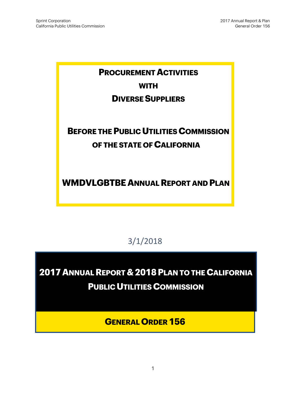# **PROCUREMENT ACTIVITIES WITH**

### **DIVERSE SUPPLIERS**

# **BEFORE THE PUBLIC UTILITIES COMMISSION OF THE STATE OF CALIFORNIA**

**WMDVLGBTBE ANNUAL REPORT AND PLAN**

3/1/2018

**2017 ANNUAL REPORT & 2018PLAN TO THE CALIFORNIA PUBLIC UTILITIES COMMISSION** 

**GENERAL ORDER 156**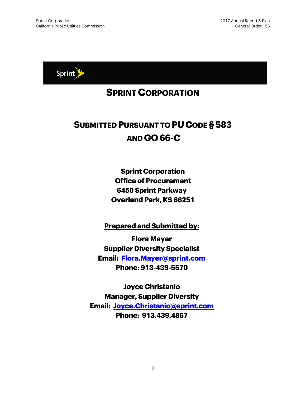

### **SPRINT CORPORATION**

## **SUBMITTED PURSUANT TO PU CODE § 583 AND GO 66-C**

**Sprint Corporation Office of Procurement 6450 Sprint Parkway Overland Park, KS 66251**

**Prepared and Submitted by:**

**Flora Mayer Supplier Diversity Specialist Email: [Flora.Mayer@sprint.com](mailto:Flora.Mayer@sprint.com) Phone: 913-439-5570**

**Joyce Christanio Manager, Supplier Diversity Email: [Joyce.Christanio@sprint.com](mailto:Joyce.Christanio@sprint.com) Phone: 913.439.4867**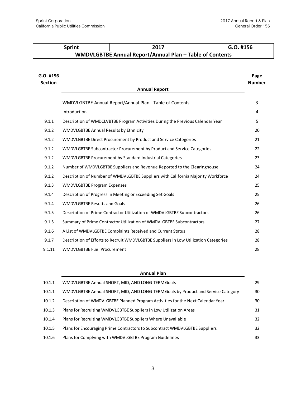$\mathbf{I}$ 

|                               | <b>Sprint</b>                                                          | 2017                                                                                 | G.O. #156             |  |  |
|-------------------------------|------------------------------------------------------------------------|--------------------------------------------------------------------------------------|-----------------------|--|--|
|                               |                                                                        | WMDVLGBTBE Annual Report/Annual Plan - Table of Contents                             |                       |  |  |
| $G.0.$ #156<br><b>Section</b> |                                                                        | <b>Annual Report</b>                                                                 | Page<br><b>Number</b> |  |  |
|                               | Introduction                                                           | WMDVLGBTBE Annual Report/Annual Plan - Table of Contents                             | 3<br>4                |  |  |
| 9.1.1                         |                                                                        | Description of WMDCLVBTBE Program Activities During the Previous Calendar Year       | 5                     |  |  |
| 9.1.2                         | WMDVLGBTBE Annual Results by Ethnicity                                 |                                                                                      | 20                    |  |  |
| 9.1.2                         |                                                                        | WMDVLGBTBE Direct Procurement by Product and Service Categories                      | 21                    |  |  |
| 9.1.2                         | WMDVLGBTBE Subcontractor Procurement by Product and Service Categories |                                                                                      |                       |  |  |
| 9.1.2                         | WMDVLGBTBE Procurement by Standard Industrial Categories               |                                                                                      |                       |  |  |
| 9.1.2                         |                                                                        | Number of WMDVLGBTBE Suppliers and Revenue Reported to the Clearinghouse             | 24                    |  |  |
| 9.1.2                         |                                                                        | Description of Number of WMDVLGBTBE Suppliers with California Majority Workforce     | 24                    |  |  |
| 9.1.3                         | <b>WMDVLGBTBE Program Expenses</b>                                     |                                                                                      | 25                    |  |  |
| 9.1.4                         |                                                                        | Description of Progress in Meeting or Exceeding Set Goals                            | 25                    |  |  |
| 9.1.4                         | <b>WMDVLGBTBE Results and Goals</b>                                    |                                                                                      | 26                    |  |  |
| 9.1.5                         |                                                                        | Description of Prime Contractor Utilization of WMDVLGBTBE Subcontractors             | 26                    |  |  |
| 9.1.5                         |                                                                        | Summary of Prime Contractor Utilization of WMDVLGBTBE Subcontractors                 | 27                    |  |  |
| 9.1.6                         |                                                                        | A List of WMDVLGBTBE Complaints Received and Current Status                          | 28                    |  |  |
| 9.1.7                         |                                                                        | Description of Efforts to Recruit WMDVLGBTBE Suppliers in Low Utilization Categories | 28                    |  |  |

|        | <b>Annual Plan</b>                                                                |    |
|--------|-----------------------------------------------------------------------------------|----|
| 10.1.1 | WMDVLGBTBE Annual SHORT, MID, AND LONG-TERM Goals                                 | 29 |
| 10.1.1 | WMDVLGBTBE Annual SHORT, MID, AND LONG-TERM Goals by Product and Service Category | 30 |
| 10.1.2 | Description of WMDVLGBTBE Planned Program Activities for the Next Calendar Year   | 30 |
| 10.1.3 | Plans for Recruiting WMDVLGBTBE Suppliers in Low Utilization Areas                | 31 |
| 10.1.4 | Plans for Recruiting WMDVLGBTBE Suppliers Where Unavailable                       | 32 |
| 10.1.5 | Plans for Encouraging Prime Contractors to Subcontract WMDVLGBTBE Suppliers       | 32 |
| 10.1.6 | Plans for Complying with WMDVLGBTBE Program Guidelines                            | 33 |

9.1.11 WMDVLGBTBE Fuel Procurement 28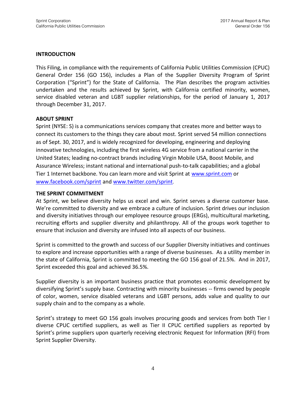#### **INTRODUCTION**

This Filing, in compliance with the requirements of California Public Utilities Commission (CPUC) General Order 156 (GO 156), includes a Plan of the Supplier Diversity Program of Sprint Corporation ("Sprint") for the State of California. The Plan describes the program activities undertaken and the results achieved by Sprint, with California certified minority, women, service disabled veteran and LGBT supplier relationships, for the period of January 1, 2017 through December 31, 2017.

#### **ABOUT SPRINT**

Sprint (NYSE: S) is a communications services company that creates more and better ways to connect its customers to the things they care about most. Sprint served 54 million connections as of Sept. 30, 2017, and is widely recognized for developing, engineering and deploying innovative technologies, including the first wireless 4G service from a national carrier in the United States; leading no-contract brands including Virgin Mobile USA, Boost Mobile, and Assurance Wireless; instant national and international push-to-talk capabilities; and a global Tier 1 Internet backbone. You can learn more and visit Sprint at [www.sprint.com](http://www.sprint.com/) or [www.facebook.com/sprint](http://www.facebook.com/sprint) and [www.twitter.com/sprint](http://www.twitter.com/sprint).

#### **THE SPRINT COMMITMENT**

At Sprint, we believe diversity helps us excel and win. Sprint serves a diverse customer base. We're committed to diversity and we embrace a culture of inclusion. Sprint drives our inclusion and diversity initiatives through our employee resource groups (ERGs), multicultural marketing, recruiting efforts and supplier diversity and philanthropy. All of the groups work together to ensure that inclusion and diversity are infused into all aspects of our business.

Sprint is committed to the growth and success of our Supplier Diversity initiatives and continues to explore and increase opportunities with a range of diverse businesses. As a utility member in the state of California, Sprint is committed to meeting the GO 156 goal of 21.5%. And in 2017, Sprint exceeded this goal and achieved 36.5%.

Supplier diversity is an important business practice that promotes economic development by diversifying Sprint's supply base. Contracting with minority businesses -- firms owned by people of color, women, service disabled veterans and LGBT persons, adds value and quality to our supply chain and to the company as a whole.

Sprint's strategy to meet GO 156 goals involves procuring goods and services from both Tier I diverse CPUC certified suppliers, as well as Tier II CPUC certified suppliers as reported by Sprint's prime suppliers upon quarterly receiving electronic Request for Information (RFI) from Sprint Supplier Diversity.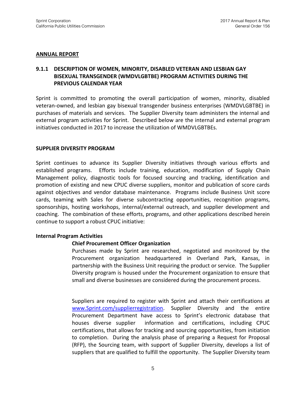#### **ANNUAL REPORT**

#### **9.1.1 DESCRIPTION OF WOMEN, MINORITY, DISABLED VETERAN AND LESBIAN GAY BISEXUAL TRANSGENDER (WMDVLGBTBE) PROGRAM ACTIVITIES DURING THE PREVIOUS CALENDAR YEAR**

Sprint is committed to promoting the overall participation of women, minority, disabled veteran-owned, and lesbian gay bisexual transgender business enterprises (WMDVLGBTBE) in purchases of materials and services. The Supplier Diversity team administers the internal and external program activities for Sprint. Described below are the internal and external program initiatives conducted in 2017 to increase the utilization of WMDVLGBTBEs.

#### **SUPPLIER DIVERSITY PROGRAM**

Sprint continues to advance its Supplier Diversity initiatives through various efforts and established programs. Efforts include training, education, modification of Supply Chain Management policy, diagnostic tools for focused sourcing and tracking, identification and promotion of existing and new CPUC diverse suppliers, monitor and publication of score cards against objectives and vendor database maintenance. Programs include Business Unit score cards, teaming with Sales for diverse subcontracting opportunities, recognition programs, sponsorships, hosting workshops, internal/external outreach, and supplier development and coaching. The combination of these efforts, programs, and other applications described herein continue to support a robust CPUC initiative:

#### **Internal Program Activities**

#### **Chief Procurement Officer Organization**

Purchases made by Sprint are researched, negotiated and monitored by the Procurement organization headquartered in Overland Park, Kansas, in partnership with the Business Unit requiring the product or service. The Supplier Diversity program is housed under the Procurement organization to ensure that small and diverse businesses are considered during the procurement process.

Suppliers are required to register with Sprint and attach their certifications at [www.Sprint.com/supplierregistration.](http://www.sprint.com/supplierregistration) Supplier Diversity and the entire Procurement Department have access to Sprint's electronic database that houses diverse supplier information and certifications, including CPUC certifications, that allows for tracking and sourcing opportunities, from initiation to completion. During the analysis phase of preparing a Request for Proposal (RFP), the Sourcing team, with support of Supplier Diversity, develops a list of suppliers that are qualified to fulfill the opportunity. The Supplier Diversity team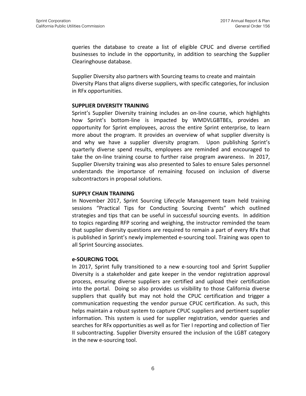queries the database to create a list of eligible CPUC and diverse certified businesses to include in the opportunity, in addition to searching the Supplier Clearinghouse database.

Supplier Diversity also partners with Sourcing teams to create and maintain Diversity Plans that aligns diverse suppliers, with specific categories, for inclusion in RFx opportunities.

#### **SUPPLIER DIVERSITY TRAINING**

Sprint's Supplier Diversity training includes an on-line course, which highlights how Sprint's bottom-line is impacted by WMDVLGBTBEs, provides an opportunity for Sprint employees, across the entire Sprint enterprise, to learn more about the program. It provides an overview of what supplier diversity is and why we have a supplier diversity program. Upon publishing Sprint's quarterly diverse spend results, employees are reminded and encouraged to take the on-line training course to further raise program awareness. In 2017, Supplier Diversity training was also presented to Sales to ensure Sales personnel understands the importance of remaining focused on inclusion of diverse subcontractors in proposal solutions.

#### **SUPPLY CHAIN TRAINING**

In November 2017, Sprint Sourcing Lifecycle Management team held training sessions "Practical Tips for Conducting Sourcing Events" which outlined strategies and tips that can be useful in successful sourcing events. In addition to topics regarding RFP scoring and weighing, the instructor reminded the team that supplier diversity questions are required to remain a part of every RFx that is published in Sprint's newly implemented e-sourcing tool. Training was open to all Sprint Sourcing associates.

#### **e-SOURCING TOOL**

In 2017, Sprint fully transitioned to a new e-sourcing tool and Sprint Supplier Diversity is a stakeholder and gate keeper in the vendor registration approval process, ensuring diverse suppliers are certified and upload their certification into the portal. Doing so also provides us visibility to those California diverse suppliers that qualify but may not hold the CPUC certification and trigger a communication requesting the vendor pursue CPUC certification. As such, this helps maintain a robust system to capture CPUC suppliers and pertinent supplier information. This system is used for supplier registration, vendor queries and searches for RFx opportunities as well as for Tier I reporting and collection of Tier II subcontracting. Supplier Diversity ensured the inclusion of the LGBT category in the new e-sourcing tool.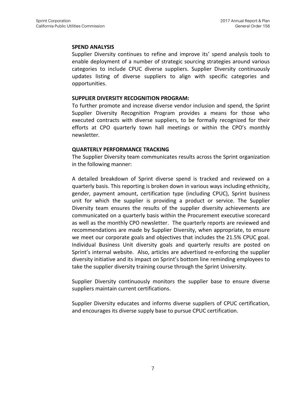#### **SPEND ANALYSIS**

Supplier Diversity continues to refine and improve its' spend analysis tools to enable deployment of a number of strategic sourcing strategies around various categories to include CPUC diverse suppliers. Supplier Diversity continuously updates listing of diverse suppliers to align with specific categories and opportunities.

#### **SUPPLIER DIVERSITY RECOGNITION PROGRAM:**

To further promote and increase diverse vendor inclusion and spend, the Sprint Supplier Diversity Recognition Program provides a means for those who executed contracts with diverse suppliers, to be formally recognized for their efforts at CPO quarterly town hall meetings or within the CPO's monthly newsletter.

#### **QUARTERLY PERFORMANCE TRACKING**

The Supplier Diversity team communicates results across the Sprint organization in the following manner:

A detailed breakdown of Sprint diverse spend is tracked and reviewed on a quarterly basis. This reporting is broken down in various ways including ethnicity, gender, payment amount, certification type (including CPUC), Sprint business unit for which the supplier is providing a product or service. The Supplier Diversity team ensures the results of the supplier diversity achievements are communicated on a quarterly basis within the Procurement executive scorecard as well as the monthly CPO newsletter. The quarterly reports are reviewed and recommendations are made by Supplier Diversity, when appropriate, to ensure we meet our corporate goals and objectives that includes the 21.5% CPUC goal. Individual Business Unit diversity goals and quarterly results are posted on Sprint's internal website. Also, articles are advertised re-enforcing the supplier diversity initiative and its impact on Sprint's bottom line reminding employees to take the supplier diversity training course through the Sprint University.

Supplier Diversity continuously monitors the supplier base to ensure diverse suppliers maintain current certifications.

Supplier Diversity educates and informs diverse suppliers of CPUC certification, and encourages its diverse supply base to pursue CPUC certification.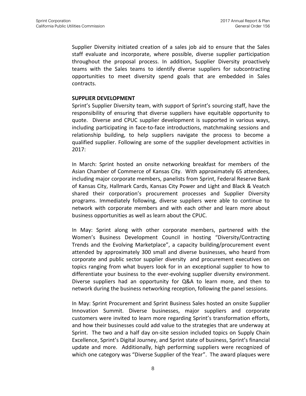Supplier Diversity initiated creation of a sales job aid to ensure that the Sales staff evaluate and incorporate, where possible, diverse supplier participation throughout the proposal process. In addition, Supplier Diversity proactively teams with the Sales teams to identify diverse suppliers for subcontracting opportunities to meet diversity spend goals that are embedded in Sales contracts.

#### **SUPPLIER DEVELOPMENT**

Sprint's Supplier Diversity team, with support of Sprint's sourcing staff, have the responsibility of ensuring that diverse suppliers have equitable opportunity to quote. Diverse and CPUC supplier development is supported in various ways, including participating in face-to-face introductions, matchmaking sessions and relationship building, to help suppliers navigate the process to become a qualified supplier. Following are some of the supplier development activities in 2017:

In March: Sprint hosted an onsite networking breakfast for members of the Asian Chamber of Commerce of Kansas City. With approximately 65 attendees, including major corporate members, panelists from Sprint, Federal Reserve Bank of Kansas City, Hallmark Cards, Kansas City Power and Light and Black & Veatch shared their corporation's procurement processes and Supplier Diversity programs. Immediately following, diverse suppliers were able to continue to network with corporate members and with each other and learn more about business opportunities as well as learn about the CPUC.

In May: Sprint along with other corporate members, partnered with the Women's Business Development Council in hosting "Diversity/Contracting Trends and the Evolving Marketplace", a capacity building/procurement event attended by approximately 300 small and diverse businesses, who heard from corporate and public sector supplier diversity and procurement executives on topics ranging from what buyers look for in an exceptional supplier to how to differentiate your business to the ever-evolving supplier diversity environment. Diverse suppliers had an opportunity for Q&A to learn more, and then to network during the business networking reception, following the panel sessions.

In May: Sprint Procurement and Sprint Business Sales hosted an onsite Supplier Innovation Summit. Diverse businesses, major suppliers and corporate customers were invited to learn more regarding Sprint's transformation efforts, and how their businesses could add value to the strategies that are underway at Sprint. The two and a half day on-site session included topics on Supply Chain Excellence, Sprint's Digital Journey, and Sprint state of business, Sprint's financial update and more. Additionally, high performing suppliers were recognized of which one category was "Diverse Supplier of the Year". The award plaques were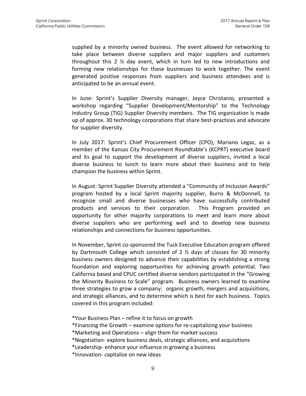supplied by a minority owned business. The event allowed for networking to take place between diverse suppliers and major suppliers and customers throughout this 2  $\frac{1}{2}$  day event, which in turn led to new introductions and forming new relationships for these businesses to work together. The event generated positive responses from suppliers and business attendees and is anticipated to be an annual event.

In June: Sprint's Supplier Diversity manager, Joyce Christanio, presented a workshop regarding "Supplier Development/Mentorship" to the Technology Industry Group (TIG) Supplier Diversity members. The TIG organization is made up of approx. 30 technology corporations that share best-practices and advocate for supplier diversity.

In July 2017: Sprint's Chief Procurement Officer (CPO), Mariano Legaz, as a member of the Kansas City Procurement Roundtable's (KCPRT) executive board and its goal to support the development of diverse suppliers, invited a local diverse business to lunch to learn more about their business and to help champion the business within Sprint.

In August: Sprint Supplier Diversity attended a "Community of Inclusion Awards" program hosted by a local Sprint majority supplier, Burns & McDonnell, to recognize small and diverse businesses who have successfully contributed products and services to their corporation. This Program provided an opportunity for other majority corporations to meet and learn more about diverse suppliers who are performing well and to develop new business relationships and connections for business opportunities.

In November, Sprint co-sponsored the Tuck Executive Education program offered by Dartmouth College which consisted of 2 ½ days of classes for 30 minority business owners designed to advance their capabilities by establishing a strong foundation and exploring opportunities for achieving growth potential. Two California based and CPUC certified diverse vendors participated in the "Growing the Minority Business to Scale" program. Business owners learned to examine three strategies to grow a company: organic growth, mergers and acquisitions, and strategic alliances, and to determine which is best for each business. Topics covered in this program included:

\*Your Business Plan – refine it to focus on growth

\*Financing the Growth – examine options for re-capitalizing your business

\*Marketing and Operations – align them for market success

\*Negotiation- explore business deals, strategic alliances, and acquisitions

\*Leadership- enhance your influence in growing a business

\*Innovation- capitalize on new ideas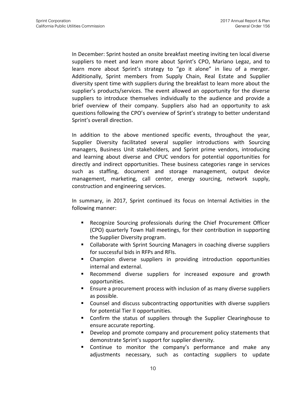In December: Sprint hosted an onsite breakfast meeting inviting ten local diverse suppliers to meet and learn more about Sprint's CPO, Mariano Legaz, and to learn more about Sprint's strategy to "go it alone" in lieu of a merger. Additionally, Sprint members from Supply Chain, Real Estate and Supplier diversity spent time with suppliers during the breakfast to learn more about the supplier's products/services. The event allowed an opportunity for the diverse suppliers to introduce themselves individually to the audience and provide a brief overview of their company. Suppliers also had an opportunity to ask questions following the CPO's overview of Sprint's strategy to better understand Sprint's overall direction.

In addition to the above mentioned specific events, throughout the year, Supplier Diversity facilitated several supplier introductions with Sourcing managers, Business Unit stakeholders, and Sprint prime vendors, introducing and learning about diverse and CPUC vendors for potential opportunities for directly and indirect opportunities. These business categories range in services such as staffing, document and storage management, output device management, marketing, call center, energy sourcing, network supply, construction and engineering services.

In summary, in 2017, Sprint continued its focus on Internal Activities in the following manner:

- **Recognize Sourcing professionals during the Chief Procurement Officer** (CPO) quarterly Town Hall meetings, for their contribution in supporting the Supplier Diversity program.
- Collaborate with Sprint Sourcing Managers in coaching diverse suppliers for successful bids in RFPs and RFIs.
- Champion diverse suppliers in providing introduction opportunities internal and external.
- Recommend diverse suppliers for increased exposure and growth opportunities.
- Ensure a procurement process with inclusion of as many diverse suppliers as possible.
- Counsel and discuss subcontracting opportunities with diverse suppliers for potential Tier II opportunities.
- Confirm the status of suppliers through the Supplier Clearinghouse to ensure accurate reporting.
- Develop and promote company and procurement policy statements that demonstrate Sprint's support for supplier diversity.
- Continue to monitor the company's performance and make any adjustments necessary, such as contacting suppliers to update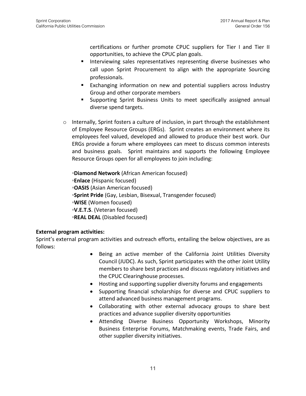certifications or further promote CPUC suppliers for Tier I and Tier II opportunities, to achieve the CPUC plan goals.

- Interviewing sales representatives representing diverse businesses who call upon Sprint Procurement to align with the appropriate Sourcing professionals.
- **Exchanging information on new and potential suppliers across Industry** Group and other corporate members
- Supporting Sprint Business Units to meet specifically assigned annual diverse spend targets.
- $\circ$  Internally, Sprint fosters a culture of inclusion, in part through the establishment of Employee Resource Groups (ERGs). Sprint creates an environment where its employees feel valued, developed and allowed to produce their best work. Our ERGs provide a forum where employees can meet to discuss common interests and business goals. Sprint maintains and supports the following Employee Resource Groups open for all employees to join including:

◦**Diamond Network** (African American focused) ◦**Enlace** (Hispanic focused) ◦**OASIS** (Asian American focused) ◦**Sprint Pride** (Gay, Lesbian, Bisexual, Transgender focused) ◦**WISE** (Women focused) **◦V.E.T.S**. (Veteran focused) ◦**REAL DEAL** (Disabled focused)

#### **External program activities:**

Sprint's external program activities and outreach efforts, entailing the below objectives, are as follows:

- Being an active member of the California Joint Utilities Diversity Council (JUDC). As such, Sprint participates with the other Joint Utility members to share best practices and discuss regulatory initiatives and the CPUC Clearinghouse processes.
- Hosting and supporting supplier diversity forums and engagements
- Supporting financial scholarships for diverse and CPUC suppliers to attend advanced business management programs.
- Collaborating with other external advocacy groups to share best practices and advance supplier diversity opportunities
- Attending Diverse Business Opportunity Workshops, Minority Business Enterprise Forums, Matchmaking events, Trade Fairs, and other supplier diversity initiatives.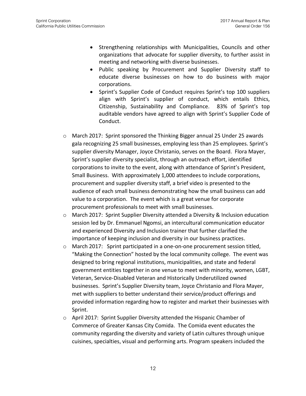- Strengthening relationships with Municipalities, Councils and other organizations that advocate for supplier diversity, to further assist in meeting and networking with diverse businesses.
- Public speaking by Procurement and Supplier Diversity staff to educate diverse businesses on how to do business with major corporations.
- Sprint's Supplier Code of Conduct requires Sprint's top 100 suppliers align with Sprint's supplier of conduct, which entails Ethics, Citizenship, Sustainability and Compliance. 83% of Sprint's top auditable vendors have agreed to align with Sprint's Supplier Code of Conduct.
- $\circ$  March 2017: Sprint sponsored the Thinking Bigger annual 25 Under 25 awards gala recognizing 25 small businesses, employing less than 25 employees. Sprint's supplier diversity Manager, Joyce Christanio, serves on the Board. Flora Mayer, Sprint's supplier diversity specialist, through an outreach effort, identified corporations to invite to the event, along with attendance of Sprint's President, Small Business. With approximately 1,000 attendees to include corporations, procurement and supplier diversity staff, a brief video is presented to the audience of each small business demonstrating how the small business can add value to a corporation. The event which is a great venue for corporate procurement professionals to meet with small businesses.
- o March 2017: Sprint Supplier Diversity attended a Diversity & Inclusion education session led by Dr. Emmanuel Ngomsi, an intercultural communication educator and experienced Diversity and Inclusion trainer that further clarified the importance of keeping inclusion and diversity in our business practices.
- $\circ$  March 2017: Sprint participated in a one-on-one procurement session titled, "Making the Connection" hosted by the local community college. The event was designed to bring regional institutions, municipalities, and state and federal government entities together in one venue to meet with minority, women, LGBT, Veteran, Service-Disabled Veteran and Historically Underutilized owned businesses. Sprint's Supplier Diversity team, Joyce Christanio and Flora Mayer, met with suppliers to better understand their service/product offerings and provided information regarding how to register and market their businesses with Sprint.
- $\circ$  April 2017: Sprint Supplier Diversity attended the Hispanic Chamber of Commerce of Greater Kansas City Comida. The Comida event educates the community regarding the diversity and variety of Latin cultures through unique cuisines, specialties, visual and performing arts. Program speakers included the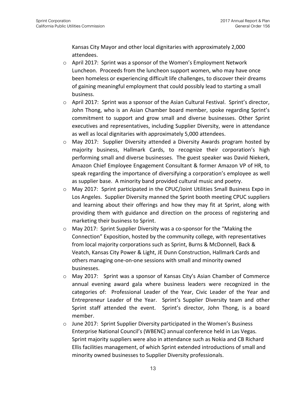Kansas City Mayor and other local dignitaries with approximately 2,000 attendees.

- o April 2017: Sprint was a sponsor of the Women's Employment Network Luncheon. Proceeds from the luncheon support women, who may have once been homeless or experiencing difficult life challenges, to discover their dreams of gaining meaningful employment that could possibly lead to starting a small business.
- $\circ$  April 2017: Sprint was a sponsor of the Asian Cultural Festival. Sprint's director, John Thong, who is an Asian Chamber board member, spoke regarding Sprint's commitment to support and grow small and diverse businesses. Other Sprint executives and representatives, including Supplier Diversity, were in attendance as well as local dignitaries with approximately 5,000 attendees.
- o May 2017: Supplier Diversity attended a Diversity Awards program hosted by majority business, Hallmark Cards, to recognize their corporation's high performing small and diverse businesses. The guest speaker was David Niekerk, Amazon Chief Employee Engagement Consultant & former Amazon VP of HR, to speak regarding the importance of diversifying a corporation's employee as well as supplier base. A minority band provided cultural music and poetry.
- o May 2017: Sprint participated in the CPUC/Joint Utilities Small Business Expo in Los Angeles. Supplier Diversity manned the Sprint booth meeting CPUC suppliers and learning about their offerings and how they may fit at Sprint, along with providing them with guidance and direction on the process of registering and marketing their business to Sprint.
- $\circ$  May 2017: Sprint Supplier Diversity was a co-sponsor for the "Making the Connection" Exposition, hosted by the community college, with representatives from local majority corporations such as Sprint, Burns & McDonnell, Back & Veatch, Kansas City Power & Light, JE Dunn Construction, Hallmark Cards and others managing one-on-one sessions with small and minority owned businesses.
- o May 2017: Sprint was a sponsor of Kansas City's Asian Chamber of Commerce annual evening award gala where business leaders were recognized in the categories of: Professional Leader of the Year, Civic Leader of the Year and Entrepreneur Leader of the Year. Sprint's Supplier Diversity team and other Sprint staff attended the event. Sprint's director, John Thong, is a board member.
- o June 2017: Sprint Supplier Diversity participated in the Women's Business Enterprise National Council's (WBENC) annual conference held in Las Vegas. Sprint majority suppliers were also in attendance such as Nokia and CB Richard Ellis facilities management, of which Sprint extended introductions of small and minority owned businesses to Supplier Diversity professionals.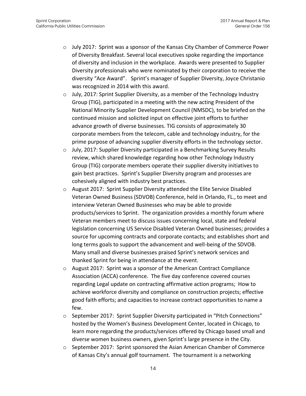- o July 2017: Sprint was a sponsor of the Kansas City Chamber of Commerce Power of Diversity Breakfast. Several local executives spoke regarding the importance of diversity and inclusion in the workplace. Awards were presented to Supplier Diversity professionals who were nominated by their corporation to receive the diversity "Ace Award". Sprint's manager of Supplier Diversity, Joyce Christanio was recognized in 2014 with this award.
- $\circ$  July, 2017: Sprint Supplier Diversity, as a member of the Technology Industry Group (TIG), participated in a meeting with the new acting President of the National Minority Supplier Development Council (NMSDC), to be briefed on the continued mission and solicited input on effective joint efforts to further advance growth of diverse businesses. TIG consists of approximately 30 corporate members from the telecom, cable and technology industry, for the prime purpose of advancing supplier diversity efforts in the technology sector.
- o July, 2017: Supplier Diversity participated in a Benchmarking Survey Results review, which shared knowledge regarding how other Technology Industry Group (TIG) corporate members operate their supplier diversity initiatives to gain best practices. Sprint's Supplier Diversity program and processes are cohesively aligned with industry best practices.
- o August 2017: Sprint Supplier Diversity attended the Elite Service Disabled Veteran Owned Business (SDVOB) Conference, held in Orlando, FL., to meet and interview Veteran Owned Businesses who may be able to provide products/services to Sprint. The organization provides a monthly forum where Veteran members meet to discuss issues concerning local, state and federal legislation concerning US Service Disabled Veteran Owned businesses; provides a source for upcoming contracts and corporate contacts; and establishes short and long terms goals to support the advancement and well-being of the SDVOB. Many small and diverse businesses praised Sprint's network services and thanked Sprint for being in attendance at the event.
- o August 2017: Sprint was a sponsor of the American Contract Compliance Association (ACCA) conference. The five day conference covered courses regarding Legal update on contracting affirmative action programs; How to achieve workforce diversity and compliance on construction projects; effective good faith efforts; and capacities to increase contract opportunities to name a few.
- o September 2017: Sprint Supplier Diversity participated in "Pitch Connections" hosted by the Women's Business Development Center, located in Chicago, to learn more regarding the products/services offered by Chicago based small and diverse women business owners, given Sprint's large presence in the City.
- o September 2017: Sprint sponsored the Asian American Chamber of Commerce of Kansas City's annual golf tournament. The tournament is a networking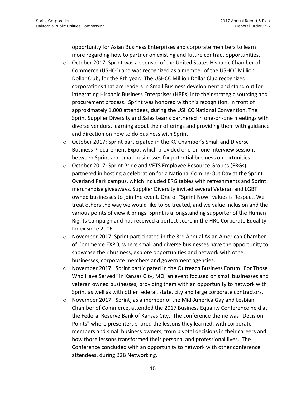opportunity for Asian Business Enterprises and corporate members to learn more regarding how to partner on existing and future contract opportunities.

- $\circ$  October 2017, Sprint was a sponsor of the United States Hispanic Chamber of Commerce (USHCC) and was recognized as a member of the USHCC Million Dollar Club, for the 8th year. The USHCC Million Dollar Club recognizes corporations that are leaders in Small Business development and stand out for integrating Hispanic Business Enterprises (HBEs) into their strategic sourcing and procurement process. Sprint was honored with this recognition, in front of approximately 1,000 attendees, during the USHCC National Convention. The Sprint Supplier Diversity and Sales teams partnered in one-on-one meetings with diverse vendors, learning about their offerings and providing them with guidance and direction on how to do business with Sprint.
- o October 2017: Sprint participated in the KC Chamber's Small and Diverse Business Procurement Expo, which provided one-on-one interview sessions between Sprint and small businesses for potential business opportunities.
- o October 2017: Sprint Pride and VETS Employee Resource Groups (ERGs) partnered in hosting a celebration for a National Coming-Out Day at the Sprint Overland Park campus, which included ERG tables with refreshments and Sprint merchandise giveaways. Supplier Diversity invited several Veteran and LGBT owned businesses to join the event. One of "Sprint Now" values is Respect. We treat others the way we would like to be treated, and we value inclusion and the various points of view it brings. Sprint is a longstanding supporter of the Human Rights Campaign and has received a perfect score in the HRC Corporate Equality Index since 2006.
- o November 2017: Sprint participated in the 3rd Annual Asian American Chamber of Commerce EXPO, where small and diverse businesses have the opportunity to showcase their business, explore opportunities and network with other businesses, corporate members and government agencies.
- $\circ$  November 2017: Sprint participated in the Outreach Business Forum "For Those Who Have Served" in Kansas City, MO, an event focused on small businesses and veteran owned businesses, providing them with an opportunity to network with Sprint as well as with other federal, state, city and large corporate contractors.
- $\circ$  November 2017: Sprint, as a member of the Mid-America Gay and Lesbian Chamber of Commerce, attended the 2017 Business Equality Conference held at the Federal Reserve Bank of Kansas City. The conference theme was "Decision Points" where presenters shared the lessons they learned, with corporate members and small business owners, from pivotal decisions in their careers and how those lessons transformed their personal and professional lives. The Conference concluded with an opportunity to network with other conference attendees, during B2B Networking.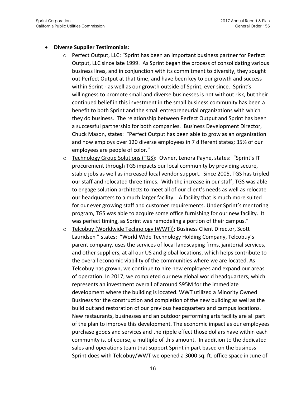#### **Diverse Supplier Testimonials:**

- o Perfect Output, LLC: "Sprint has been an important business partner for Perfect Output, LLC since late 1999. As Sprint began the process of consolidating various business lines, and in conjunction with its commitment to diversity, they sought out Perfect Output at that time, and have been key to our growth and success within Sprint - as well as our growth outside of Sprint, ever since. Sprint's willingness to promote small and diverse businesses is not without risk, but their continued belief in this investment in the small business community has been a benefit to both Sprint and the small entrepreneurial organizations with which they do business. The relationship between Perfect Output and Sprint has been a successful partnership for both companies. Business Development Director, Chuck Mason, states: "Perfect Output has been able to grow as an organization and now employs over 120 diverse employees in 7 different states; 35% of our employees are people of color."
- o Technology Group Solutions (TGS): Owner, Lenora Payne, states: "Sprint's IT procurement through TGS impacts our local community by providing secure, stable jobs as well as increased local vendor support. Since 2005, TGS has tripled our staff and relocated three times. With the increase in our staff, TGS was able to engage solution architects to meet all of our client's needs as well as relocate our headquarters to a much larger facility. A facility that is much more suited for our ever growing staff and customer requirements. Under Sprint's mentoring program, TGS was able to acquire some office furnishing for our new facility. It was perfect timing, as Sprint was remodeling a portion of their campus."
- o Telcobuy (Worldwide Technology (WWT)): Business Client Director, Scott Lauridsen " states: "World Wide Technology Holding Company, Telcobuy's parent company, uses the services of local landscaping firms, janitorial services, and other suppliers, at all our US and global locations, which helps contribute to the overall economic viability of the communities where we are located. As Telcobuy has grown, we continue to hire new employees and expand our areas of operation. In 2017, we completed our new global world headquarters, which represents an investment overall of around \$95M for the immediate development where the building is located. WWT utilized a Minority Owned Business for the construction and completion of the new building as well as the build out and restoration of our previous headquarters and campus locations. New restaurants, businesses and an outdoor performing arts facility are all part of the plan to improve this development. The economic impact as our employees purchase goods and services and the ripple effect those dollars have within each community is, of course, a multiple of this amount. In addition to the dedicated sales and operations team that support Sprint in part based on the business Sprint does with Telcobuy/WWT we opened a 3000 sq. ft. office space in June of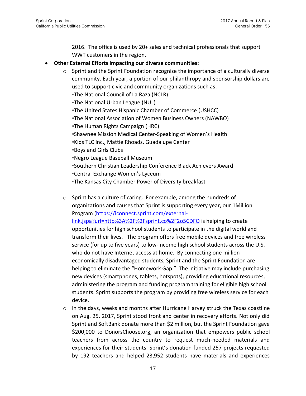2016. The office is used by 20+ sales and technical professionals that support WWT customers in the region.

#### **Other External Efforts impacting our diverse communities:**

- $\circ$  Sprint and the Sprint Foundation recognize the importance of a culturally diverse community. Each year, a portion of our philanthropy and sponsorship dollars are used to support civic and community organizations such as: ◦The National Council of La Raza (NCLR) ◦The National Urban League (NUL) ◦The United States Hispanic Chamber of Commerce (USHCC) ◦The National Association of Women Business Owners (NAWBO) ◦The Human Rights Campaign (HRC) ◦Shawnee Mission Medical Center-Speaking of Women's Health ◦Kids TLC Inc., Mattie Rhoads, Guadalupe Center ◦Boys and Girls Clubs ◦Negro League Baseball Museum ◦Southern Christian Leadership Conference Black Achievers Award ◦Central Exchange Women's Lyceum ◦The Kansas City Chamber Power of Diversity breakfast
- o Sprint has a culture of caring. For example, among the hundreds of organizations and causes that Sprint is supporting every year, our 1Million Program [\(https://iconnect.sprint.com/external](https://iconnect.sprint.com/external-link.jspa?url=http%3A%2F%2Fsprint.co%2F2o5CDFQ)[link.jspa?url=http%3A%2F%2Fsprint.co%2F2o5CDFQ](https://iconnect.sprint.com/external-link.jspa?url=http%3A%2F%2Fsprint.co%2F2o5CDFQ) is helping to create opportunities for high school students to participate in the digital world and transform their lives. The program offers free mobile devices and free wireless service (for up to five years) to low-income high school students across the U.S. who do not have Internet access at home. By connecting one million economically disadvantaged students, Sprint and the Sprint Foundation are helping to eliminate the "Homework Gap." The initiative may include purchasing new devices (smartphones, tablets, hotspots), providing educational resources, administering the program and funding program training for eligible high school students. Sprint supports the program by providing free wireless service for each device.
- $\circ$  In the days, weeks and months after Hurricane Harvey struck the Texas coastline on Aug. 25, 2017, Sprint stood front and center in recovery efforts. Not only did Sprint and SoftBank donate more than \$2 million, but the Sprint Foundation gave \$200,000 to DonorsChoose.org, an organization that empowers public school teachers from across the country to request much-needed materials and experiences for their students. Sprint's donation funded 257 projects requested by 192 teachers and helped 23,952 students have materials and experiences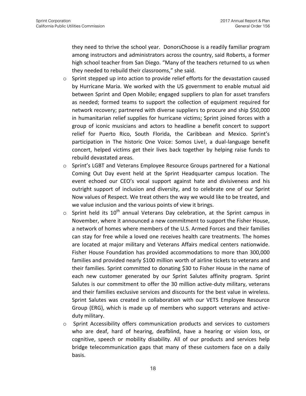they need to thrive the school year. DonorsChoose is a readily familiar program among instructors and administrators across the country, said Roberts, a former high school teacher from San Diego. "Many of the teachers returned to us when they needed to rebuild their classrooms," she said.

- $\circ$  Sprint stepped up into action to provide relief efforts for the devastation caused by Hurricane Maria. We worked with the US government to enable mutual aid between Sprint and Open Mobile; engaged suppliers to plan for asset transfers as needed; formed teams to support the collection of equipment required for network recovery; partnered with diverse suppliers to procure and ship \$50,000 in humanitarian relief supplies for hurricane victims; Sprint joined forces with a group of iconic musicians and actors to headline a benefit concert to support relief for Puerto Rico, South Florida, the Caribbean and Mexico. Sprint's participation in The historic One Voice: Somos Live!, a dual-language benefit concert, helped victims get their lives back together by helping raise funds to rebuild devastated areas.
- o Sprint's LGBT and Veterans Employee Resource Groups partnered for a National Coming Out Day event held at the Sprint Headquarter campus location. The event echoed our CEO's vocal support against hate and divisiveness and his outright support of inclusion and diversity, and to celebrate one of our Sprint Now values of Respect. We treat others the way we would like to be treated, and we value inclusion and the various points of view it brings.
- $\circ$  Sprint held its 10<sup>th</sup> annual Veterans Day celebration, at the Sprint campus in November, where it announced a new commitment to support the Fisher House, a network of homes where members of the U.S. Armed Forces and their families can stay for free while a loved one receives health care treatments. The homes are located at major military and Veterans Affairs medical centers nationwide. Fisher House Foundation has provided accommodations to more than 300,000 families and provided nearly \$100 million worth of airline tickets to veterans and their families. Sprint committed to donating \$30 to Fisher House in the name of each new customer generated by our Sprint Salutes affinity program. Sprint Salutes is our commitment to offer the 30 million active-duty military, veterans and their families exclusive services and discounts for the best value in wireless. Sprint Salutes was created in collaboration with our VETS Employee Resource Group (ERG), which is made up of members who support veterans and activeduty military.
- o Sprint Accessibility offers communication products and services to customers who are deaf, hard of hearing, deafblind, have a hearing or vision loss, or cognitive, speech or mobility disability. All of our products and services help bridge telecommunication gaps that many of these customers face on a daily basis.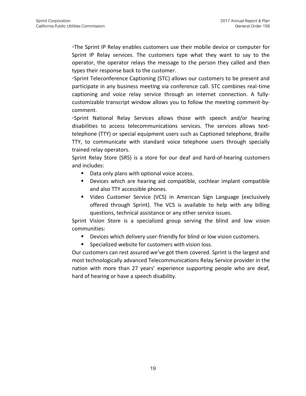◦The Sprint IP Relay enables customers use their mobile device or computer for Sprint IP Relay services. The customers type what they want to say to the operator, the operator relays the message to the person they called and then types their response back to the customer.

◦Sprint Teleconference Captioning (STC) allows our customers to be present and participate in any business meeting via conference call. STC combines real-time captioning and voice relay service through an internet connection. A fullycustomizable transcript window allows you to follow the meeting comment-bycomment.

◦Sprint National Relay Services allows those with speech and/or hearing disabilities to access telecommunications services. The services allows texttelephone (TTY) or special equipment users such as Captioned telephone, Braille TTY, to communicate with standard voice telephone users through specially trained relay operators.

Sprint Relay Store (SRS) is a store for our deaf and hard-of-hearing customers and includes:

- Data only plans with optional voice access.
- Devices which are hearing aid compatible, cochlear implant compatible and also TTY accessible phones.
- Video Customer Service (VCS) in American Sign Language (exclusively offered through Sprint). The VCS is available to help with any billing questions, technical assistance or any other service issues.

Sprint Vision Store is a specialized group serving the blind and low vision communities:

- **•** Devices which delivery user-friendly for blind or low vision customers.
- Specialized website for customers with vision loss.

Our customers can rest assured we've got them covered. Sprint is the largest and most technologically advanced Telecommunications Relay Service provider in the nation with more than 27 years' experience supporting people who are deaf, hard of hearing or have a speech disability.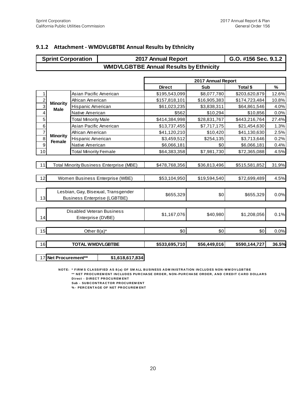#### **9.1.2 Attachment - WMDVLGBTBE Annual Results by Ethnicity**

|                | <b>Sprint Corporation</b>           |                                  |                                                                                                                                                            | 2017 Annual Report                            |                    | G.O. #156 Sec. 9.1.2 |       |
|----------------|-------------------------------------|----------------------------------|------------------------------------------------------------------------------------------------------------------------------------------------------------|-----------------------------------------------|--------------------|----------------------|-------|
|                |                                     |                                  |                                                                                                                                                            | <b>WMDVLGBTBE Annual Results by Ethnicity</b> |                    |                      |       |
|                |                                     |                                  |                                                                                                                                                            |                                               |                    |                      |       |
|                |                                     |                                  |                                                                                                                                                            |                                               | 2017 Annual Report |                      |       |
|                |                                     |                                  |                                                                                                                                                            | <b>Direct</b>                                 | Sub                | Total \$             | $\%$  |
| 1              |                                     | Asian Pacific American           |                                                                                                                                                            | \$195,543,099                                 | \$8,077,780        | \$203,620,879        | 12.6% |
| $\overline{c}$ | <b>Minority</b>                     | African American                 |                                                                                                                                                            | \$157,818,101                                 | \$16,905,383       | \$174,723,484        | 10.8% |
| $\overline{3}$ | <b>Male</b>                         | Hispanic American                |                                                                                                                                                            | \$61,023,235                                  | \$3,838,311        | \$64,861,546         | 4.0%  |
| 4              |                                     | Native American                  |                                                                                                                                                            | \$562                                         | \$10,294           | \$10,856             | 0.0%  |
| 5              |                                     | <b>Total Minority Male</b>       |                                                                                                                                                            | \$414,384,998                                 | \$28,831,767       | \$443,216,764        | 27.4% |
| 6              |                                     | Asian Pacific American           |                                                                                                                                                            | \$13,737,455                                  | \$7,717,175        | \$21,454,630         | 1.3%  |
| $\overline{7}$ | <b>Minority</b>                     | African American                 |                                                                                                                                                            | \$41,120,210                                  | \$10,420           | \$41,130,630         | 2.5%  |
| $\overline{8}$ | Female                              | Hispanic American                |                                                                                                                                                            | \$3,459,512                                   | \$254,135          | \$3,713,646          | 0.2%  |
| 9              |                                     | Native American                  |                                                                                                                                                            | \$6,066,181                                   | \$0                | \$6,066,181          | 0.4%  |
| 10             |                                     | <b>Total Minority Female</b>     |                                                                                                                                                            | \$64,383,358                                  | \$7,981,730        | \$72,365,088         | 4.5%  |
|                |                                     |                                  |                                                                                                                                                            |                                               |                    |                      |       |
| 11             |                                     |                                  | Total Minority Business Enterprise (MBE)                                                                                                                   | \$478,768,356                                 | \$36,813,496       | \$515,581,852        | 31.9% |
|                |                                     |                                  |                                                                                                                                                            |                                               |                    |                      |       |
| 12             |                                     |                                  | Women Business Enterprise (WBE)                                                                                                                            | \$53,104,950                                  | \$19,594,540       | \$72,699,489         | 4.5%  |
|                |                                     |                                  |                                                                                                                                                            |                                               |                    |                      |       |
|                | Lesbian, Gay, Bisexual, Transgender |                                  |                                                                                                                                                            | \$655,329                                     | \$0                | \$655,329            | 0.0%  |
| 13             |                                     |                                  | <b>Business Enterprise (LGBTBE)</b>                                                                                                                        |                                               |                    |                      |       |
|                |                                     | <b>Disabled Veteran Business</b> |                                                                                                                                                            |                                               |                    |                      |       |
| 14             |                                     | Enterprise (DVBE)                |                                                                                                                                                            | \$1,167,076                                   | \$40,980           | \$1,208,056          | 0.1%  |
|                |                                     |                                  |                                                                                                                                                            |                                               |                    |                      |       |
| 15             |                                     | Other $8(a)^*$                   |                                                                                                                                                            | \$0                                           | \$0                | \$0                  | 0.0%  |
| 16             |                                     | <b>TOTAL WMDVLGBTBE</b>          |                                                                                                                                                            | \$533,695,710                                 | \$56,449,016       | \$590,144,727        | 36.5% |
|                |                                     |                                  |                                                                                                                                                            |                                               |                    |                      |       |
| 17             | Net Procurement**                   |                                  | \$1,618,617,834                                                                                                                                            |                                               |                    |                      |       |
|                |                                     |                                  |                                                                                                                                                            |                                               |                    |                      |       |
|                |                                     |                                  | NOTE: * FIRMS CLASSIFIED AS 8(a) OF SMALL BUSINESS ADMINISTRATION INCLUDES NON-WMDVLGBTBE<br>** NET PROCUREMENT INCLUDES PURCHASE ORDER NON-PURCHASE ORDER |                                               |                    | <b>PD DOLLAPS</b>    |       |

\* FIRM S\_CLASSIFIED\_AS\_8(a)\_OF\_SM\_ALL\_BUSINESS\_ADM INISTRATION\_INCLUDES\_NON-WMDVLGBTBE\_<br>\* FIRM S\_CLASSIFIED\_AS\_8(a)\_OF\_SM\_ALL\_BUSINESS\_ADM INISTRATION\_INCLUDES\_NON-WMDVLGBTBE\_<br>Direct\_- DIRECT\_PROCUREM\_ENT\_ \* FIRMS CLASSIFIED AS 8(a) OF<br>\*\* NET PROCUREMENT INCLUDE<br>Direct - DIRECT PROCUREMENT<br>Sub - SUBCONTRACTOR PROCU \* FIRMS CLASSIFIED AS 8(a) OF SMALL **E**<br>\*\* NET PROCUREMENT INCLUDES PURC<del>I</del><br>Direct - DIRECT PROCUREMENT<br>SW- SUBCONTRACT OF NET PROCUREMENT<br>%- PEPCENTAGE OF NET PROCUPEMENT \*\* NET PROCUREM ENT INCLUDES PURCH<br>Direct - DIRECT PROCUREM ENT<br>Sub - SUBCONTRACTOR PROCUREM ENT<br>% - PERCENTAGE OF NET PROCUREM ENT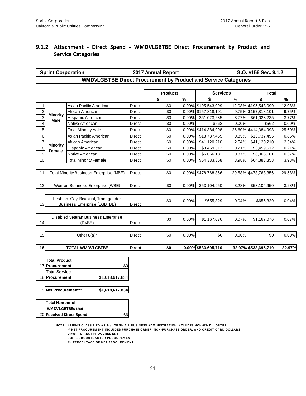#### **9.1.2 Attachment - Direct Spend - WMDVLGBTBE Direct Procurement by Product and Service Categories**

|                | <b>Sprint Corporation</b> |                              |                                                                                                                                                                                      |               | 2017 Annual Report |       |                     |        | G.O. #156 Sec. 9.1.2 |        |
|----------------|---------------------------|------------------------------|--------------------------------------------------------------------------------------------------------------------------------------------------------------------------------------|---------------|--------------------|-------|---------------------|--------|----------------------|--------|
|                |                           |                              | <b>WMDVLGBTBE Direct Procurement by Product and Service Categories</b>                                                                                                               |               |                    |       |                     |        |                      |        |
|                |                           |                              |                                                                                                                                                                                      |               |                    |       |                     |        |                      |        |
|                |                           |                              |                                                                                                                                                                                      |               | <b>Products</b>    |       | <b>Services</b>     |        | <b>Total</b>         |        |
|                |                           |                              |                                                                                                                                                                                      |               | \$                 | %     | \$                  | $\%$   | \$                   | $\%$   |
| 1              |                           |                              | Asian Pacific American                                                                                                                                                               | Direct        | \$0                |       | 0.00% \$195,543,099 | 12.08% | \$195,543,099        | 12.08% |
| $\overline{2}$ | <b>Minority</b>           | African American             |                                                                                                                                                                                      | Direct        | \$0                |       | 0.00% \$157,818,101 |        | 9.75% \$157,818,101  | 9.75%  |
| $\overline{3}$ | Male                      | Hispanic American            |                                                                                                                                                                                      | Direct        | \$0                | 0.00% | \$61,023,235        | 3.77%  | \$61,023,235         | 3.77%  |
| 4              |                           | Native American              |                                                                                                                                                                                      | Direct        | \$0                | 0.00% | \$562               | 0.00%  | \$562                | 0.00%  |
| 5              |                           | <b>Total Minority Male</b>   |                                                                                                                                                                                      | Direct        | \$0                | 0.00% | \$414,384,998       | 25.60% | \$414,384,998        | 25.60% |
| 6              |                           |                              | Asian Pacific American                                                                                                                                                               | Direct        | \$0                | 0.00% | \$13,737,455        | 0.85%  | \$13,737,455         | 0.85%  |
| $\overline{7}$ | <b>Minority</b>           | African American             |                                                                                                                                                                                      | Direct        | \$0                | 0.00% | \$41,120,210        | 2.54%  | \$41,120,210         | 2.54%  |
| 8              | Female                    | Hispanic American            |                                                                                                                                                                                      | Direct        | \$0                | 0.00% | \$3,459,512         | 0.21%  | \$3,459,512          | 0.21%  |
| 9              |                           | Native American              |                                                                                                                                                                                      | Direct        | \$0                | 0.00% | \$6,066,181         | 0.37%  | \$6,066,181          | 0.37%  |
| 10             |                           | <b>Total Minority Female</b> |                                                                                                                                                                                      | Direct        | \$0                | 0.00% | \$64,383,358        | 3.98%  | \$64,383,358         | 3.98%  |
|                |                           |                              | <b>Total Minority Business Enterprise (MBE)</b>                                                                                                                                      |               | \$0                |       |                     | 29.58% | \$478,768,356        |        |
| 11             |                           |                              |                                                                                                                                                                                      | Direct        |                    | 0.00% | \$478,768,356       |        |                      | 29.58% |
| 12             |                           |                              | Women Business Enterprise (WBE)                                                                                                                                                      | Direct        | \$0                | 0.00% | \$53,104,950        | 3.28%  | \$53,104,950         | 3.28%  |
|                |                           |                              |                                                                                                                                                                                      |               |                    |       |                     |        |                      |        |
|                |                           |                              | Lesbian, Gay, Bisexual, Transgender                                                                                                                                                  |               |                    |       |                     |        |                      |        |
| 13             |                           |                              | <b>Business Enterprise (LGBTBE)</b>                                                                                                                                                  | <b>Direct</b> | \$0                | 0.00% | \$655,329           | 0.04%  | \$655,329            | 0.04%  |
|                |                           |                              |                                                                                                                                                                                      |               |                    |       |                     |        |                      |        |
|                |                           |                              | Disabled Veteran Business Enterprise                                                                                                                                                 |               |                    |       |                     |        |                      |        |
| 14             |                           | (DVBE)                       |                                                                                                                                                                                      | Direct        | \$0                | 0.00% | \$1,167,076         | 0.07%  | \$1,167,076          | 0.07%  |
|                |                           |                              |                                                                                                                                                                                      |               |                    |       |                     |        |                      |        |
| 15             |                           | Other $8(a)^*$               |                                                                                                                                                                                      | <b>Direct</b> | \$0                | 0.00% | \$0                 | 0.00%  | \$0                  | 0.00%  |
|                |                           |                              |                                                                                                                                                                                      |               |                    |       |                     |        |                      |        |
| 16             |                           | <b>TOTAL WMDVLGBTBE</b>      |                                                                                                                                                                                      | <b>Direct</b> | \$0                |       | 0.00% \$533,695,710 |        | 32.97% \$533,695,710 | 32.97% |
|                |                           |                              |                                                                                                                                                                                      |               |                    |       |                     |        |                      |        |
|                | <b>Total Product</b>      |                              |                                                                                                                                                                                      |               |                    |       |                     |        |                      |        |
|                | 17 Procurement            |                              | \$0                                                                                                                                                                                  |               |                    |       |                     |        |                      |        |
|                | <b>Total Service</b>      |                              |                                                                                                                                                                                      |               |                    |       |                     |        |                      |        |
|                | 18 Procurement            |                              | \$1,618,617,834                                                                                                                                                                      |               |                    |       |                     |        |                      |        |
|                |                           |                              |                                                                                                                                                                                      |               |                    |       |                     |        |                      |        |
|                | 19 Net Procurement**      |                              | \$1,618,617,834                                                                                                                                                                      |               |                    |       |                     |        |                      |        |
|                | <b>Total Number of</b>    |                              |                                                                                                                                                                                      |               |                    |       |                     |        |                      |        |
|                |                           |                              |                                                                                                                                                                                      |               |                    |       |                     |        |                      |        |
|                | <b>WMDVLGBTBEs that</b>   |                              |                                                                                                                                                                                      |               |                    |       |                     |        |                      |        |
|                |                           | 20 Received Direct Spend     | 661                                                                                                                                                                                  |               |                    |       |                     |        |                      |        |
|                |                           |                              | NOTE: * FIRMS CLASSIFIED AS 8(a) OF SMALL BUSINESS ADMINISTRATION INCLUDES NON-WMDVLGBTBE<br>** NET PROCUREMENT INCLUDES PURCHASE ORDER, NON-PURCHASE ORDER, AND CREDIT CARD DOLLARS |               |                    |       |                     |        |                      |        |

**\*\* N ET PR OC U R EM EN T IN C LU D ES PU R C HA SE OR D ER , N ON - PU R C HA SE OR D ER , A N D C R ED IT C A R D D OLLA R S** \* FIRMS CLASSIFIED AS 8(a) OF<br>\*\* NET PROCUREMENT INCLUDE<br>Direct - DIRECT PROCUREMENT<br>Sub - SURCONTRACTOR PROCU \* FIRMS CLASSIFIED AS 8(a) OF SMALL **F**<br>\*\* NET PROCUREMENT INCLUDES PURC<del>I</del><br>Direct - DIRECT PROCUREMENT<br>Sub - SUBCONTRACTOR PROCUREMENT<br>%- PERCENTAGE OF NET PROCUREMENT **EXAMPLE AS G(a) OF SWALL B**<br>\*\* NET PROCUREMENT INCLUDES PURCH.<br>Direct - DIRECT PROCUREMENT<br>Sub - SUBCONTRACTOR PROCUREMENT<br>%- PERCENTAGE OF NET PROCUREMENT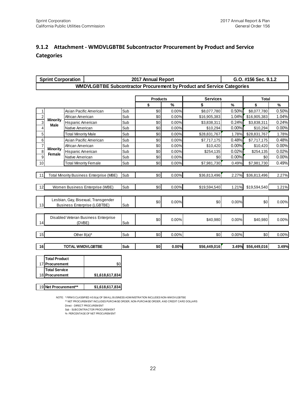### **9.1.2 Attachment - WMDVLGBTBE Subcontractor Procurement by Product and Service Categories**

|                | <b>Sprint Corporation</b>                                                                                |                              |                                                                                                                                                                                        |     | 2017 Annual Report |          |                                                                        |          | G.O. #156 Sec. 9.1.2 |       |
|----------------|----------------------------------------------------------------------------------------------------------|------------------------------|----------------------------------------------------------------------------------------------------------------------------------------------------------------------------------------|-----|--------------------|----------|------------------------------------------------------------------------|----------|----------------------|-------|
|                |                                                                                                          |                              |                                                                                                                                                                                        |     |                    |          | WMDVLGBTBE Subcontractor Procurement by Product and Service Categories |          |                      |       |
|                |                                                                                                          |                              |                                                                                                                                                                                        |     | <b>Products</b>    |          | <b>Services</b>                                                        |          | <b>Total</b>         |       |
|                |                                                                                                          |                              |                                                                                                                                                                                        |     | \$                 | $\%$     | \$                                                                     | $\%$     | \$                   | $\%$  |
| 1              |                                                                                                          | Asian Pacific American       |                                                                                                                                                                                        | Sub | \$0                | 0.00%    | \$8,077,780                                                            | 0.50%    | \$8,077,780          | 0.50% |
| $\overline{2}$ |                                                                                                          | African American             |                                                                                                                                                                                        | Sub | \$0                | 0.00%    | \$16,905,383                                                           | 1.04%    | \$16,905,383         | 1.04% |
| $\overline{3}$ | <b>Minority</b><br>Male                                                                                  | Hispanic American            |                                                                                                                                                                                        | Sub | \$0                | 0.00%    | \$3,838,311                                                            | 0.24%    | \$3,838,311          | 0.24% |
| 4              |                                                                                                          | Native American              |                                                                                                                                                                                        | Sub | \$0                | 0.00%    | \$10,294                                                               | 0.00%    | \$10,294             | 0.00% |
| 5              |                                                                                                          | <b>Total Minority Male</b>   |                                                                                                                                                                                        | Sub | \$0                | 0.00%    | \$28,831,767                                                           | 1.78%    | \$28,831,767         | 1.78% |
| 6              |                                                                                                          |                              | Asian Pacific American                                                                                                                                                                 | Sub | \$0                | 0.00%    | \$7,717,175                                                            | 0.48%    | \$7,717,175          | 0.48% |
| $\overline{7}$ |                                                                                                          | African American             |                                                                                                                                                                                        | Sub | \$0                | 0.00%    | \$10,420                                                               | 0.00%    | \$10,420             | 0.00% |
| 8              | <b>Minority</b><br>Female                                                                                | Hispanic American            |                                                                                                                                                                                        | Sub | \$0                | 0.00%    | \$254,135                                                              | 0.02%    | \$254,135            | 0.02% |
| 9              |                                                                                                          | Native American              |                                                                                                                                                                                        | Sub | \$0                | 0.00%    | \$0                                                                    | 0.00%    | \$0                  | 0.00% |
| 10             |                                                                                                          | <b>Total Minority Female</b> |                                                                                                                                                                                        | Sub | \$0                | 0.00%    | \$7,981,730                                                            | 0.49%    | \$7,981,730          | 0.49% |
| 11             |                                                                                                          |                              | <b>Total Minority Business Enterprise (MBE)</b>                                                                                                                                        | Sub | \$0                | 0.00%    | \$36,813,496                                                           | 2.27%    | \$36,813,496         | 2.27% |
| 12             |                                                                                                          |                              | Women Business Enterprise (WBE)                                                                                                                                                        | Sub | \$0                | 0.00%    | \$19,594,540                                                           | 1.21%    | \$19,594,540         | 1.21% |
| 13             | Lesbian, Gay, Bisexual, Transgender<br><b>Business Enterprise (LGBTBE)</b>                               |                              | Sub                                                                                                                                                                                    | \$0 | 0.00%              | \$0      | 0.00%                                                                  | \$0      | 0.00%                |       |
| 14             | Disabled Veteran Business Enterprise<br>(DVBE)                                                           |                              | Sub                                                                                                                                                                                    | \$0 | 0.00%              | \$40,980 | 0.00%                                                                  | \$40,980 | 0.00%                |       |
| 15             |                                                                                                          | Other $8(a)^*$               |                                                                                                                                                                                        | Sub | \$0                | 0.00%    | \$0                                                                    | 0.00%    | \$0                  | 0.00% |
| 16             |                                                                                                          | <b>TOTAL WMDVLGBTBE</b>      |                                                                                                                                                                                        | Sub | \$0                | 0.00%    | \$56,449,016                                                           | 3.49%    | \$56,449,016         | 3.49% |
|                | <b>Total Product</b><br>17 Procurement<br><b>Total Service</b><br>18 Procurement<br>19 Net Procurement** |                              | \$0<br>\$1,618,617,834<br>\$1,618,617,834                                                                                                                                              |     |                    |          |                                                                        |          |                      |       |
|                |                                                                                                          |                              | NOTE: * FIRM S CLASSIFIED AS 8(a) OF SMALL BUSINESS ADMINISTRATION INCLUDES NON-WM DVLGBTBE<br>** NET PROCUREMENT INCLUDES PURCHASE ORDER, NON-PURCHASE ORDER, AND CREDIT CARD DOUARS. |     |                    |          |                                                                        |          |                      |       |

**? MENTAL RET PROCURE TO STAG AT 1,618,617,834<br>\* FIRMS CLASSIFIED AS 8(a) OF SMALL BUSINESS ADMINISTRATION INCLUDES NON-WMDVLGBTBE<br>\*\* NET PROCUREM ENT INCLUDES PURCHASE ORDER, NON-PURCHASE ORDER, AND CREDIT CARD DOLLARS<br>Di** \* FIRMS CLASSIFIED AS 8(a) OF :<br>\*\* NET PROCUREM ENT INCLUDE<br>Direct - DIRECT PROCUREM ENT<br>Sub - SUBCONTRACTOR PROCU \* FIRMS CLASSIFIED AS 8(a) OF SMALL BL<br>\*\* NET PROCUREM ENT INCLUDES PURCH<br>Dired - DIRECT PROCUREM ENT<br>Sub - SUBCONTRACTOR PROCUREM ENT<br>%- PERCENTAGE OF NET PROCUREM ENT " FIRMS CLASSIFIED AS 6(a) OF SWALL BO<br>Direct - DIRECT PROCUREM ENT<br>Direct - DIRECT PROCUREM ENT<br>Sub - SUBCONTRACTOR PROCUREM ENT<br>%- PERCENTAGE OF NET PROCUREM ENT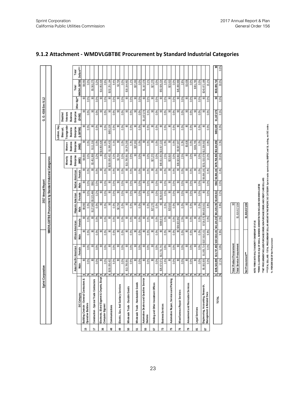|          | Sprint Corporation                              |                    |                        |                                                                  |              |                                                          | 2017 Annual Report |                 |                           |                                              |                          |                                |                             | G. O. #156 Sec 9.1.2 |                   |            |
|----------|-------------------------------------------------|--------------------|------------------------|------------------------------------------------------------------|--------------|----------------------------------------------------------|--------------------|-----------------|---------------------------|----------------------------------------------|--------------------------|--------------------------------|-----------------------------|----------------------|-------------------|------------|
|          |                                                 |                    |                        |                                                                  |              | WMDVLGBTBE Procurement by Standard Industrial Categories |                    |                 |                           |                                              |                          |                                |                             |                      |                   |            |
|          |                                                 |                    |                        |                                                                  |              |                                                          |                    |                 |                           |                                              |                          |                                |                             |                      |                   |            |
|          |                                                 |                    |                        |                                                                  |              |                                                          |                    |                 |                           |                                              |                          | Lesbian, Gay,                  |                             |                      |                   |            |
|          |                                                 |                    |                        |                                                                  |              |                                                          |                    |                 |                           |                                              |                          | Bise xual                      | Disabled                    |                      |                   |            |
|          |                                                 |                    |                        |                                                                  |              |                                                          |                    |                 |                           | <b>Business</b><br>Minority                  | <b>Business</b><br>Women | Transgender<br><b>Business</b> | <b>Business</b><br>Veterans |                      |                   |            |
|          |                                                 |                    | Asian Pacific American | African American                                                 |              | Hispanic American                                        |                    | Native American |                           | Enterprise                                   | <b>Enterprise</b>        | Enterprise                     | Enterprise                  |                      | Total             | Total      |
|          | SIC Category                                    | Male               | Female                 | Male                                                             | Female       | Male                                                     | Female             | Male            | Female                    | <b>GREW</b>                                  | (WBE                     | (LGBTBE)                       | (DVBE)                      | Other 8(a)**         | <b>WMDVLGBTBE</b> | Dollars*** |
|          | ractors &<br>Building Cnstrctn - General Contr  | ↮                  | ຊ<br>ິ                 | ຊ                                                                | ຊ            | \$8,050                                                  | ຊ                  | ຊ               | ິ                         | \$8,050                                      | ຊ                        | ఞ                              | ₷                           | Ձ                    | \$8,050           |            |
| 45       | <b>Operative Builders</b>                       |                    | 0.0%<br>0.0%           | 0.0%                                                             | 0.0%         | $0.0\%$                                                  | 0.0%               | 0.0%            | $0.0\%$                   | 0.0%                                         | 0.0%                     | 0.0%                           | 0.0%                        | 0.0%                 | 0.0%              |            |
| 4        | Construction - Special Trade Contractors        | ω                  | ຊ<br>ິ                 | ශි                                                               | ຊ            | \$127,900                                                | \$3,323,496        | \$562           | ္တ                        | \$3,451,959                                  | \$111.316                | မ္မ                            | ෂි                          | ஃ                    | .563.275<br>ఇ     |            |
|          |                                                 |                    | 0.0%<br>0.0%           | 0.0%                                                             | 0.0%         | 0.0%                                                     | 0.2%               | 0.0%            | 0.0%                      | 0.2%                                         | 0.0%                     | 0.0%                           | 0.0%                        | 0.0%                 | 0.2%              |            |
| æ        | ints, Excpt<br>Electronic, Elctrcl Eqpmnt & Cmp | $\bullet$          | ຊ<br>S                 | ຊ                                                                | ຊ            | ஃ                                                        | မ္က                | ஃ               | ິ                         |                                              | \$0 \$14,853,426         | ္တ                             | ຊ                           | ຊ                    | \$14,853,426      |            |
|          | Computer Eqpmnt                                 |                    | 0.0%<br>0.0%           | 0.0%                                                             | 0.0%         | 0.0%                                                     | 0.0%               | 0.0%            | 0.0%                      | 0.0%                                         | 0.9%                     | 0.0%                           | 0.0%                        | 0.0%                 | 0.9%              |            |
| ₽        | Communications                                  | \$150,000,432      | ຊ                      | ஃ                                                                | Ձ            | ஃ                                                        | ္တ                 | ஃ               |                           | \$0 \$150,000,432                            | \$1,595,433              | \$655,329                      | ஃ                           | ஃ                    | \$152,251,194     |            |
|          |                                                 |                    | 0.0%<br>9.3%           | 0.0%                                                             | 0.0%         | 0.0%                                                     | 0.0%               | 0.0%            | 0.0%                      | 9.3%                                         | 0.1%                     | 0.0%                           | 0.0%                        | 0.0%                 | 9.4%              |            |
| ą        | es<br>Electric, Gas, And Sanitary Servi         | ↮                  | ఞ<br>ິ                 | ₷                                                                | ຊ            | \$2,704                                                  | ಜ                  | Ձ               | ္တ                        | \$2,704                                      | ఞ                        | အ                              | ₷                           | ຊ                    | \$2,704           |            |
|          |                                                 | 0.0%<br>శ          | 0.0%                   | 0.0%                                                             | 0.0%         | 0.0%                                                     | 0.0%               | 0.0%            | 0.0%                      | 0.0%                                         | 0.0%                     | 0.0%                           | 0.0%                        | 0.0%                 | $0.0\%$           |            |
| ន        | ≝<br>Wholesale Trade - Durable Good             | \$13,785,591<br>↮  | ຊ                      | த                                                                | ຊ            | ຊ                                                        | ິ                  | ຊ               | S                         | \$13,785,591                                 | \$4,379,290              | ္တ                             | ຊ                           | ຊ                    | \$18,164,882      |            |
|          |                                                 | 0.9%<br>వ్         | 0.0%                   | 0.0%                                                             | 0.0%         | 0.0%                                                     | 0.0%               | 0.0%            | 0.0%                      | 0.9%                                         | 0.3%                     | 0.0%                           | 0.0%                        | 0.0%                 | 1.1%              |            |
| 5        | <b>Spools</b><br>Wholesale Trade - Nondurable G | ↮                  | ୡ<br>్ల                | ஃ                                                                | ຊ            | ୡ                                                        | ఞ                  | Ձ               | ్ల                        | ఞ                                            | \$37,263                 | ິ                              | Ձ                           | ຊ                    | \$37,263          |            |
|          |                                                 | 0.0%               | 0.0%                   | 0.0%                                                             | 0.0%         | 0.0%                                                     | 0.0%               | 0.0%            | 0.0%                      | 0.0%                                         | 0.0%                     | 0.0%                           | 0.0%                        | 0.0%                 | 0.0%              |            |
| ន្រ      | Automotive Dealers and Gasoline Service         | S                  | Ձ<br>ິ                 | ஃ                                                                | ₷            | ₷                                                        | ఞ                  | ଌ               | ္တ                        | ິ                                            | ္တ                       | ఢ                              | \$1,167,076                 | Ձ                    | \$1,167,076       |            |
|          | Stations                                        |                    | 0.0%<br>0.0%           | 0.0%                                                             | 0.0%         | 0.0%                                                     | 0.0%               | 0.0%            | 0.0%                      | 0.0%                                         | 0.0%                     | 0.0%                           | 0.1%                        | 0.0%                 | 0.1%              |            |
| 5        | Holding and Other Investment Offices            | \$                 | ຊ<br>ິ                 | ຊ                                                                | ຊ            | \$27.270                                                 | ິສ                 | ຊ               | ຊ                         | \$27,270                                     | ິ                        | ິ                              | ෂි                          | ຊ                    | \$27.270          |            |
|          |                                                 | 0.0%               | 0.0%                   | 0.0%                                                             | 0.0%         | 0.0%                                                     | 0.0%               | 0.0%            | 0.0%                      | 0.0%                                         | 0.0%                     | 0.0%                           | 0.0%                        | 0.0%                 | 0.0%              |            |
| <b>Z</b> | <b>Business Services</b>                        | \$26,673,571<br>\$ | \$12,731,741           | ஃ                                                                | \$469,673    | ஃ                                                        | \$136,015          | ஃ               | S                         | \$40,011,001 \$13,917,223                    |                          | ္တ                             | ஃ                           | ஃ                    | \$53,928,224      |            |
|          |                                                 |                    | 0.8%<br>1.6%           | 0.0%                                                             | 0.0%         | 0.0%                                                     | 0.0%               | 0.0%            | 0.0%                      | 2.5%                                         | 0.9%                     | 0.0%                           | 0.0%                        | $0.0\%$              | 3.3%              |            |
| 15       | Parking<br>Automotive Repair, Services and      | \$                 | Ձ<br>ິ                 | ஃ                                                                | Ձ            | \$23,810                                                 | ္တ                 | Ձ               | S                         | \$23,810                                     | ິ                        | ິ                              | ஃ                           | Ձ                    | \$23.810          |            |
|          |                                                 |                    | $0.0\%$<br>0.0%        | 0.0%                                                             | 0.0%         | 0.0%                                                     | 0.0%               | 0.0%            | 0.0%                      | 0.0%                                         | 0.0%                     | $0.0\%$                        | 0.0%                        | 0.0%                 | $0.0\%$           |            |
| 16       | <b>Miscellaneous Repair Services</b>            | ↮                  | Ձ<br>ິ                 | Ձ                                                                | \$39,923,962 | Ձ                                                        | ఞ                  | Ձ               | $\boldsymbol{\mathsf{s}}$ | \$39,923,962                                 | \$5,567,007              | ఞ                              | ຊ                           | Ձ                    | \$45,490,969      |            |
|          |                                                 | శ                  | 0.0%<br>0.0%           | 0.0%                                                             | 2.5%         | 0.0%                                                     | 0.0%               | 0.0%            | 0.0%                      | 2.5%                                         | 0.3%                     | 0.0%                           | 0.0%                        | 0.0%                 | 2.8%              |            |
| ద్       | vices<br>Amusement and Recreation Ser-          | ↮                  | ຊ<br>ິ                 | த                                                                | ₷            | ຊ                                                        | ິ                  | Ձ               | S                         | ິ                                            | \$3,636                  | န္တ                            | ຊ                           | ຊ                    | \$3,636           |            |
|          |                                                 |                    | 0.0%<br>0.0%           | 0.0%                                                             | 0.0%         | 0.0%                                                     | 0.0%               | 0.0%            | 0.0%                      | 0.0%                                         | 0.0%                     | 0.0%                           | 0.0%                        | 0.0%                 | 0.0%              |            |
| ఙ        | Legal Services                                  | ↮                  | ຊ<br>ິ                 | ஃ                                                                | Ձ            | ஃ                                                        | ဌ                  | Ձ               | ౢ                         | ິ                                            | \$301,765                | ິ                              | ஃ                           | ຊ                    | \$301.765         |            |
|          |                                                 | 0.0%               | 0.0%                   | 0.0%                                                             | 0.0%         | 0.0%                                                     | 0.0%               | 0.0%            | $0.0\%$                   | 0.0%                                         | 0.0%                     | 0.0%                           | 0.0%                        | 0.0%                 | 0.0%              |            |
| 29       | Engineering, Accounting, Research,              | ,083,505<br>ఇ<br>ଇ | \$1,005,714            | \$157,818,101                                                    | \$726,575    | \$60,833,501                                             | ఞ                  | ജ<br>Ձ          | ,066,181                  | \$231,533,578 \$12,338,592                   |                          | အ                              | Ձ                           | Ձ                    | \$243,872,169     |            |
|          | <b>Management &amp; Related Svcs</b>            | 0.3%               | 0.1%                   | 9.8%                                                             | 0.0%         | 3.8%                                                     | 0.0%               | 0.0%            | 0.4%                      | 14.3%                                        | 0.8%                     | 0.0%                           | 0.0%                        | 0.0%                 | 15.1%             |            |
|          |                                                 | \$195,543,099      |                        | \$13,737,455 \$157,818,101 \$41,120,210 \$61,023,235 \$3,459,512 |              |                                                          |                    |                 |                           | \$562 \$6,066,181 \$478,768,356 \$53,104,950 |                          | \$655,329                      | \$1,167,076                 | ິ                    | \$533,695,710     | ິ          |
|          | <b>TOTAL</b>                                    | 12.1%<br>\$<br>\$  | 0.8%                   | 9.8%                                                             | 2.5%         | 3.8%                                                     | 0.2%               | 0.0%            | 0.4%                      | 29.6%                                        | 3.3%                     | 0.0%                           | 0.1%                        | 0.0%                 | 33.0%             | 0.0%       |
|          |                                                 |                    |                        |                                                                  |              |                                                          |                    |                 |                           |                                              |                          |                                |                             |                      |                   |            |

#### **9.1.2 Attachment - WMDVLGBTBE Procurement by Standard Industrial Categories**

| Total Product Procurement | ຂ               |
|---------------------------|-----------------|
| Total Service Procurement | \$1.618.617.834 |
|                           |                 |
| Net Procurement***        | \$1,618,617,834 |
|                           |                 |

**NOTE: \*FIRMS WITH MULTI MINORITY OWNERSHIP STATUS**

**\*\*FIRMS CLASSIFIED AS 8(a) OF SMALL BUSINESS ADMINISTRATION INCLUDES NON-WMDVLGBTBE**

**\*\*\*NET PROCUREMENT INCLUDES PURCHASE ORDER, NON-PURCHASE ORDER, AND CREDIT CARD DOLLARS**

NOTE FIRMS WITH MULTI MINORITY OWNERSHIP BY ATUS<br>"HEMS CLASSHED AS 8(4) OF SMALL BUSIKESS ADMINISTRATION INCLUDES YOU-WIND LGBTBE.<br>""HET FROCUREMENT INCLUDES PURCHASE ORDER NON-PURCHASE ORDER, AND CREDIT CARD DOLLARS<br>""TOT **\*\*\*TOTAL DOLLARS - TOTAL DOLLAR STECHEMENT DOLLAR AMOUNT IN THE SPECIFIC SOCATEGORY. Sprint tracks spend using UNSPSC and GL coding, not SIC codes.** 

**% - PERCENTAGE OF Net Procurement**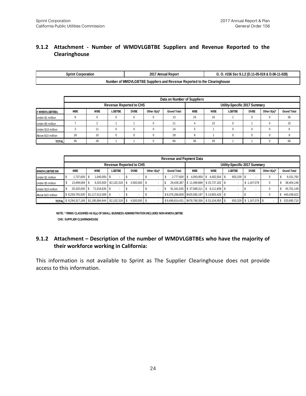#### **9.1.2 Attachment - Number of WMDVLGBTBE Suppliers and Revenue Reported to the Clearinghouse**

| Sprint<br>t Corporation | 2017<br><b>Annual Report</b>                                      | . #156 Sec 9.1.2 (D.11-05-019 & D.06-11-028) |
|-------------------------|-------------------------------------------------------------------|----------------------------------------------|
| Number                  | of WMDVLGBTBE Suppliers and Revenue Reported to the Clearinghouse |                                              |

|                    |            |            |               |                                |             | Data on Number of Suppliers |            |            |                               |             |                |                    |
|--------------------|------------|------------|---------------|--------------------------------|-------------|-----------------------------|------------|------------|-------------------------------|-------------|----------------|--------------------|
|                    |            |            |               | <b>Revenue Reported to CHS</b> |             |                             |            |            | Utility-Specific 2017 Summary |             |                |                    |
| # WMDVLGBTBEs      | <b>MBE</b> | <b>WBE</b> | <b>LGBTBE</b> | <b>DVBE</b>                    | Other 8(a)* | <b>Grand Total</b>          | <b>MBE</b> | <b>WBE</b> | <b>LGBTBE</b>                 | <b>DVBE</b> | Other $8(a)^*$ | <b>Grand Total</b> |
| Under \$1 million  |            |            | $\mathbf{0}$  |                                | u           | 13                          | 19         | 16         |                               |             | 0              | 36                 |
| Under \$5 million  |            |            |               |                                |             |                             |            | 10         | U                             |             | 0              | 15                 |
| Under \$10 million |            | 11         | $\Omega$      |                                |             | 14                          | Ð          |            | U                             |             | 0              |                    |
| Above \$10 million | 18         | 10         | $\Omega$      |                                |             | 28                          | 8          |            |                               |             | 0              |                    |
| <b>TOTAL</b>       | 36         | 28         |               |                                |             | 66                          | 36         | 28         |                               |             | 0              | 66                 |

|                       |                                                      |               |                                |                                |                          | <b>Revenue and Payment Data</b> |                               |                     |                               |                         |                |                    |
|-----------------------|------------------------------------------------------|---------------|--------------------------------|--------------------------------|--------------------------|---------------------------------|-------------------------------|---------------------|-------------------------------|-------------------------|----------------|--------------------|
|                       |                                                      |               |                                | <b>Revenue Reported to CHS</b> |                          |                                 |                               |                     | Utility-Specific 2017 Summary |                         |                |                    |
| <b>WMDVLGBTBE \$M</b> | <b>MBE</b>                                           | <b>WBE</b>    | LGBTBE                         | <b>DVBE</b>                    | Other 8(a)*              | <b>Grand Total</b>              | <b>MBE</b>                    | <b>WBE</b>          | <b>LGBTBE</b>                 | <b>DVBE</b>             | Other $8(a)^*$ | <b>Grand Total</b> |
| Under \$1 million     | 1,737,600                                            | 1,040,000 \$  |                                | ۰                              |                          | 2,777,600                       | 4,093,959                     | 4,402,504 \$<br>S   | 655,329 \$                    |                         |                | 9,151,792          |
| Under \$5 million     | 13,499,069                                           |               | $6,325,000$   \$2,102,318   \$ | 4,500,000 \$                   | $\overline{\phantom{a}}$ | J                               | 26,426,387 \$11,499,889       | $$25,737,182$ \\$   |                               | \$1,167,076             | 0              | 38,404,148         |
| Under \$10 million    | 20,325,000 \$                                        | 71.016.635 \$ |                                | $\overline{\phantom{a}}$       |                          | ъ                               | 91,341,635 \$37,589,311       | $8.111.838$ S<br>\$ | $\overline{\phantom{a}}$      |                         |                | 45,701,149<br>D    |
| Above \$10 million    | \$8,258,755,500   \$1,117,513,309   \$               |               |                                |                                |                          | \$9,376,268,809                 | \$425,585,197                 | $$14.853.426$ \ \$  |                               |                         |                | 440,438,622        |
|                       | TOTAL \$8,294,317,169 \$1,195,894,944 \$2,102,318 \$ |               |                                | 4,500,000 \$                   |                          | \$9,496,814,431                 | \$478,768,356 \$53,104,950 \$ |                     |                               | 655,329 \$ 1,167,076 \$ |                | 533,695,710<br>-S  |
|                       |                                                      |               |                                |                                |                          |                                 |                               |                     |                               |                         |                |                    |

**NOTE: \* FIRMS CLASSIFIED AS 8(a) OF SMALL BUSINESS ADMINISTRATION INCLUDES NON-WMDVLGBTBE CHS: SUPPLIER CLEARINGHOUSE**

#### **9.1.2 Attachment – Description of the number of WMDVLGBTBEs who have the majority of their workforce working in California:**

This information is not available to Sprint as The Supplier Clearinghouse does not provide access to this information.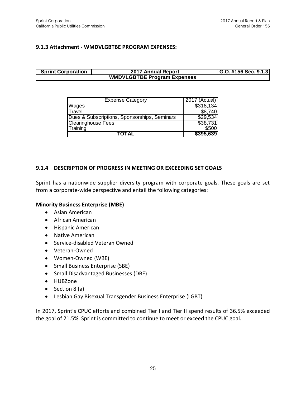#### **9.1.3 Attachment - WMDVLGBTBE PROGRAM EXPENSES:**

#### **G.O. #156 Sec. 9.1.3 WMDVLGBTBE Program Expenses Sprint Corporation 2017 Annual Report**

| <b>Expense Category</b>                      | 2017 (Actual) |
|----------------------------------------------|---------------|
| Wages                                        | \$318,134     |
| <b>Travel</b>                                | \$8,740       |
| Dues & Subscriptions, Sponsorships, Seminars | \$29,534      |
| <b>Clearinghouse Fees</b>                    | \$38,731      |
| Training                                     | \$500         |
| <b>TOTAL</b>                                 | \$395,639     |

#### **9.1.4 DESCRIPTION OF PROGRESS IN MEETING OR EXCEEDING SET GOALS**

Sprint has a nationwide supplier diversity program with corporate goals. These goals are set from a corporate-wide perspective and entail the following categories:

#### **Minority Business Enterprise (MBE)**

- Asian American
- African American
- Hispanic American
- Native American
- Service-disabled Veteran Owned
- Veteran-Owned
- Women-Owned (WBE)
- Small Business Enterprise (SBE)
- Small Disadvantaged Businesses (DBE)
- HUBZone
- $\bullet$  Section 8 (a)
- Lesbian Gay Bisexual Transgender Business Enterprise (LGBT)

In 2017, Sprint's CPUC efforts and combined Tier I and Tier II spend results of 36.5% exceeded the goal of 21.5%. Sprint is committed to continue to meet or exceed the CPUC goal.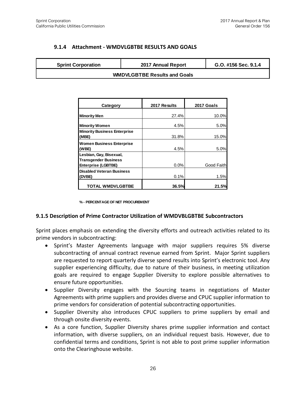#### **9.1.4 Attachment - WMDVLGBTBE RESULTS AND GOALS**

| <b>Sprint Corporation</b> | 2017 Annual Report                  | G.O. #156 Sec. 9.1.4 |
|---------------------------|-------------------------------------|----------------------|
|                           | <b>WMDVLGBTBE Results and Goals</b> |                      |

| Category                                                                             | 2017 Results | 2017 Goals |  |  |
|--------------------------------------------------------------------------------------|--------------|------------|--|--|
| <b>Minority Men</b>                                                                  | 27.4%        | 10.0%      |  |  |
| <b>Minority Women</b>                                                                | 4.5%         | 5.0%       |  |  |
| <b>Minority Business Enterprise</b><br>(MBE)                                         | 31.8%        | 15.0%      |  |  |
| <b>Women Business Enterprise</b><br>(WBE)                                            | 4.5%         | 5.0%       |  |  |
| Lesbian, Gay, Bisexual,<br><b>Transgender Business</b><br><b>Enterprise (LGBTBE)</b> | 0.0%         | Good Faith |  |  |
| <b>Disabled Veteran Business</b><br>(DVBE)                                           | 0.1%         | 1.5%       |  |  |
| <b>TOTAL WMDVLGBTBE</b>                                                              | 36.5%        | 21.5%      |  |  |

**% - PERCENTAGE OF NET PROCUREMENT**

#### **9.1.5 Description of Prime Contractor Utilization of WMDVBLGBTBE Subcontractors**

Sprint places emphasis on extending the diversity efforts and outreach activities related to its prime vendors in subcontracting:

- Sprint's Master Agreements language with major suppliers requires 5% diverse subcontracting of annual contract revenue earned from Sprint. Major Sprint suppliers are requested to report quarterly diverse spend results into Sprint's electronic tool. Any supplier experiencing difficulty, due to nature of their business, in meeting utilization goals are required to engage Supplier Diversity to explore possible alternatives to ensure future opportunities.
- Supplier Diversity engages with the Sourcing teams in negotiations of Master Agreements with prime suppliers and provides diverse and CPUC supplier information to prime vendors for consideration of potential subcontracting opportunities.
- Supplier Diversity also introduces CPUC suppliers to prime suppliers by email and through onsite diversity events.
- As a core function, Supplier Diversity shares prime supplier information and contact information, with diverse suppliers, on an individual request basis. However, due to confidential terms and conditions, Sprint is not able to post prime supplier information onto the Clearinghouse website.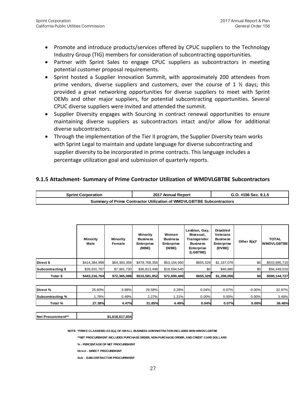- Promote and introduce products/services offered by CPUC suppliers to the Technology Industry Group (TIG) members for consideration of subcontracting opportunities.
- Partner with Sprint Sales to engage CPUC suppliers as subcontractors in meeting potential customer proposal requirements.
- Sprint hosted a Supplier Innovation Summit, with approximately 200 attendees from prime vendors, diverse suppliers and customers, over the course of 1 ½ days; this provided a great networking opportunities for diverse suppliers to meet with Sprint OEMs and other major suppliers, for potential subcontracting opportunities. Several CPUC diverse suppliers were invited and attended the summit.
- Supplier Diversity engages with Sourcing in contract renewal opportunities to ensure maintaining diverse suppliers as subcontractors intact and/or allow for additional diverse subcontractors.
- Through the implementation of the Tier II program, the Supplier Diversity team works with Sprint Legal to maintain and update language for diverse subcontracting and supplier diversity to be incorporated in prime contracts. This language includes a percentage utilization goal and submission of quarterly reports.

#### **9.1.5 Attachment- Summary of Prime Contractor Utilization of WMDVLGBTBE Subcontractors**

| Sprint Corporation                                                   | 2017 Annual Report | G.O. #156 Sec. 9.1.5 |  |  |  |  |
|----------------------------------------------------------------------|--------------------|----------------------|--|--|--|--|
| Summary of Prime Contractor Utilization of WMDVLGBTBE Subcontractors |                    |                      |  |  |  |  |

|                          | <b>Minority</b><br>Male | <b>Minority</b><br>Female | <b>Minority</b><br><b>Business</b><br><b>Enterprise</b><br>(MBE) | Women<br><b>Business</b><br>Enterprise<br>(WBE) | Lesbian, Gay,<br>Bisexual,<br>Transgender<br><b>Business</b><br><b>Enterprise</b><br>(LGBTBE) | Disabled<br><b>Veterans</b><br><b>Business</b><br><b>Enterprise</b><br>(DVBE) | Other $8(a)^*$ | <b>TOTAL</b><br><b>WMDVLGBTBE</b> |
|--------------------------|-------------------------|---------------------------|------------------------------------------------------------------|-------------------------------------------------|-----------------------------------------------------------------------------------------------|-------------------------------------------------------------------------------|----------------|-----------------------------------|
| Direct \$                | \$414,384,998           | \$64,383,358              | \$478,768,356                                                    | \$53,104,950                                    | \$655,329                                                                                     | \$1,167,076                                                                   | \$0            | \$533,695,710                     |
| <b>Subcontracting \$</b> | \$28,831,767            | \$7,981,730               | \$36,813,496                                                     | \$19,594,540                                    | \$0                                                                                           | \$40,980                                                                      | \$0            | \$56,449,016                      |
| Total \$                 | \$443,216,764           | \$72,365,088              | \$515,581,852                                                    | \$72,699,489                                    | \$655,329                                                                                     | \$1,208,056                                                                   | \$0            | \$590,144,727                     |

| Direct %         | 25.60% | 3.98% | 29.58% | 3.28% | 0.04%    | 0.07%    | $0.00\%$ | 32.97% |
|------------------|--------|-------|--------|-------|----------|----------|----------|--------|
| Subcontracting % | .78%   | 0.49% | 2.27%  | .21%  | $0.00\%$ | $0.00\%$ | $0.00\%$ | 3.49%  |
| Total %          | 27.38% | 4.47% | 31.85% | 4.49% | 0.04%    | 0.07%    | 0.00%    | 36.46% |

**Net Procurement\*\* \$1,618,617,834**

**NOTE: \*FIRMS CLASSIFIED AS 8(a) OF SMALL BUSINESS ADMINISTRATION INCLUDES NON-WMDVLGBTBE**

**\*\*NET PROCUREMENT INCLUDES PURCHASE ORDER, NON-PURCHASE ORDER, AND CREDIT CARD DOLLARS**

**% - PERCENTAGE OF NET PROCUREMENT**

**Direct - DIRECT PROCUREMENT**

**Sub - SUBCONTRACTOR PROCUREMENT**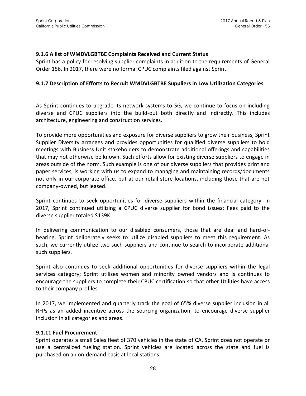#### **9.1.6 A list of WMDVLGBTBE Complaints Received and Current Status**

Sprint has a policy for resolving supplier complaints in addition to the requirements of General Order 156. In 2017, there were no formal CPUC complaints filed against Sprint.

#### **9.1.7 Description of Efforts to Recruit WMDVLGBTBE Suppliers in Low Utilization Categories**

As Sprint continues to upgrade its network systems to 5G, we continue to focus on including diverse and CPUC suppliers into the build-out both directly and indirectly. This includes architecture, engineering and construction services.

To provide more opportunities and exposure for diverse suppliers to grow their business, Sprint Supplier Diversity arranges and provides opportunities for qualified diverse suppliers to hold meetings with Business Unit stakeholders to demonstrate additional offerings and capabilities that may not otherwise be known. Such efforts allow for existing diverse suppliers to engage in areas outside of the norm. Such example is one of our diverse suppliers that provides print and paper services, is working with us to expand to managing and maintaining records/documents not only in our corporate office, but at our retail store locations, including those that are not company-owned, but leased.

Sprint continues to seek opportunities for diverse suppliers within the financial category. In 2017, Sprint continued utilizing a CPUC diverse supplier for bond issues; Fees paid to the diverse supplier totaled \$139K.

In delivering communication to our disabled consumers, those that are deaf and hard-ofhearing, Sprint deliberately seeks to utilize disabled suppliers to meet this requirement. As such, we currently utilize two such suppliers and continue to search to incorporate additional such suppliers.

Sprint also continues to seek additional opportunities for diverse suppliers within the legal services category; Sprint utilizes women and minority owned vendors and is continues to encourage the suppliers to complete their CPUC certification so that other Utilities have access to their company profiles.

In 2017, we implemented and quarterly track the goal of 65% diverse supplier inclusion in all RFPs as an added incentive across the sourcing organization, to encourage diverse supplier inclusion in all categories and areas.

#### **9.1.11 Fuel Procurement**

Sprint operates a small Sales fleet of 370 vehicles in the state of CA. Sprint does not operate or use a centralized fueling station. Sprint vehicles are located across the state and fuel is purchased on an on-demand basis at local stations.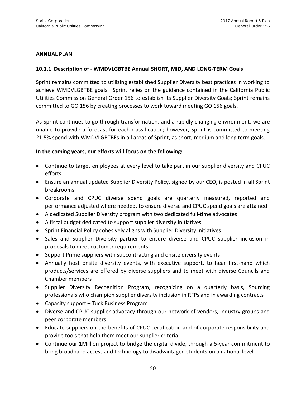#### **ANNUAL PLAN**

#### **10.1.1 Description of - WMDVLGBTBE Annual SHORT, MID, AND LONG-TERM Goals**

Sprint remains committed to utilizing established Supplier Diversity best practices in working to achieve WMDVLGBTBE goals. Sprint relies on the guidance contained in the California Public Utilities Commission General Order 156 to establish its Supplier Diversity Goals; Sprint remains committed to GO 156 by creating processes to work toward meeting GO 156 goals.

As Sprint continues to go through transformation, and a rapidly changing environment, we are unable to provide a forecast for each classification; however, Sprint is committed to meeting 21.5% spend with WMDVLGBTBEs in all areas of Sprint, as short, medium and long term goals.

#### **In the coming years, our efforts will focus on the following:**

- Continue to target employees at every level to take part in our supplier diversity and CPUC efforts.
- Ensure an annual updated Supplier Diversity Policy, signed by our CEO, is posted in all Sprint breakrooms
- Corporate and CPUC diverse spend goals are quarterly measured, reported and performance adjusted where needed, to ensure diverse and CPUC spend goals are attained
- A dedicated Supplier Diversity program with two dedicated full-time advocates
- A fiscal budget dedicated to support supplier diversity initiatives
- Sprint Financial Policy cohesively aligns with Supplier Diversity initiatives
- Sales and Supplier Diversity partner to ensure diverse and CPUC supplier inclusion in proposals to meet customer requirements
- Support Prime suppliers with subcontracting and onsite diversity events
- Annually host onsite diversity events, with executive support, to hear first-hand which products/services are offered by diverse suppliers and to meet with diverse Councils and Chamber members
- Supplier Diversity Recognition Program, recognizing on a quarterly basis, Sourcing professionals who champion supplier diversity inclusion in RFPs and in awarding contracts
- Capacity support Tuck Business Program
- Diverse and CPUC supplier advocacy through our network of vendors, industry groups and peer corporate members
- Educate suppliers on the benefits of CPUC certification and of corporate responsibility and provide tools that help them meet our supplier criteria
- Continue our 1Million project to bridge the digital divide, through a 5-year commitment to bring broadband access and technology to disadvantaged students on a national level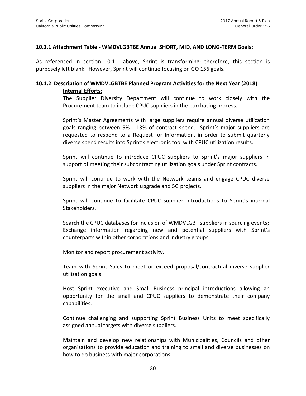#### **10.1.1 Attachment Table - WMDVLGBTBE Annual SHORT, MID, AND LONG-TERM Goals:**

As referenced in section 10.1.1 above, Sprint is transforming; therefore, this section is purposely left blank. However, Sprint will continue focusing on GO 156 goals.

#### **10.1.2 Description of WMDVLGBTBE Planned Program Activities for the Next Year (2018) Internal Efforts:**

The Supplier Diversity Department will continue to work closely with the Procurement team to include CPUC suppliers in the purchasing process.

Sprint's Master Agreements with large suppliers require annual diverse utilization goals ranging between 5% - 13% of contract spend. Sprint's major suppliers are requested to respond to a Request for Information, in order to submit quarterly diverse spend results into Sprint's electronic tool with CPUC utilization results.

Sprint will continue to introduce CPUC suppliers to Sprint's major suppliers in support of meeting their subcontracting utilization goals under Sprint contracts.

Sprint will continue to work with the Network teams and engage CPUC diverse suppliers in the major Network upgrade and 5G projects.

Sprint will continue to facilitate CPUC supplier introductions to Sprint's internal Stakeholders.

Search the CPUC databases for inclusion of WMDVLGBT suppliers in sourcing events; Exchange information regarding new and potential suppliers with Sprint's counterparts within other corporations and industry groups.

Monitor and report procurement activity.

Team with Sprint Sales to meet or exceed proposal/contractual diverse supplier utilization goals.

Host Sprint executive and Small Business principal introductions allowing an opportunity for the small and CPUC suppliers to demonstrate their company capabilities.

Continue challenging and supporting Sprint Business Units to meet specifically assigned annual targets with diverse suppliers.

Maintain and develop new relationships with Municipalities, Councils and other organizations to provide education and training to small and diverse businesses on how to do business with major corporations.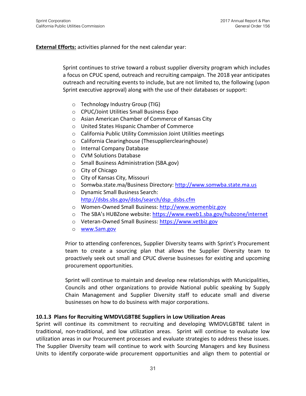#### **External Efforts:** activities planned for the next calendar year:

Sprint continues to strive toward a robust supplier diversity program which includes a focus on CPUC spend, outreach and recruiting campaign. The 2018 year anticipates outreach and recruiting events to include, but are not limited to, the following (upon Sprint executive approval) along with the use of their databases or support:

- o Technology Industry Group (TIG)
- o CPUC/Joint Utilities Small Business Expo
- o Asian American Chamber of Commerce of Kansas City
- o United States Hispanic Chamber of Commerce
- o California Public Utility Commission Joint Utilities meetings
- o California Clearinghouse (Thesupplierclearinghouse)
- o Internal Company Database
- o CVM Solutions Database
- o Small Business Administration (SBA.gov)
- o City of Chicago
- o City of Kansas City, Missouri
- o Somwba.state.ma/Business Directory: [http://www.somwba.state.ma.us](http://www.somwba.state.ma.us/)
- o Dynamic Small Business Search: [http://dsbs.sbs.gov/dsbs/search/dsp\\_dsbs.cfm](http://dsbs.sbs.gov/dsbs/search/dsp_dsbs.cfm)
- o Women-Owned Small Business: [http://www.womenbiz.gov](http://www.womenbiz.gov/)
- o The SBA's HUBZone website: <https://www.eweb1.sba.gov/hubzone/internet>
- o Veteran-Owned Small Business: [https://www.vetbiz.gov](https://www.vetbiz.gov/)
- o [www.Sam.gov](http://www.sam.gov/)

Prior to attending conferences, Supplier Diversity teams with Sprint's Procurement team to create a sourcing plan that allows the Supplier Diversity team to proactively seek out small and CPUC diverse businesses for existing and upcoming procurement opportunities.

Sprint will continue to maintain and develop new relationships with Municipalities, Councils and other organizations to provide National public speaking by Supply Chain Management and Supplier Diversity staff to educate small and diverse businesses on how to do business with major corporations.

#### **10.1.3 Plans for Recruiting WMDVLGBTBE Suppliers in Low Utilization Areas**

Sprint will continue its commitment to recruiting and developing WMDVLGBTBE talent in traditional, non-traditional, and low utilization areas. Sprint will continue to evaluate low utilization areas in our Procurement processes and evaluate strategies to address these issues. The Supplier Diversity team will continue to work with Sourcing Managers and key Business Units to identify corporate-wide procurement opportunities and align them to potential or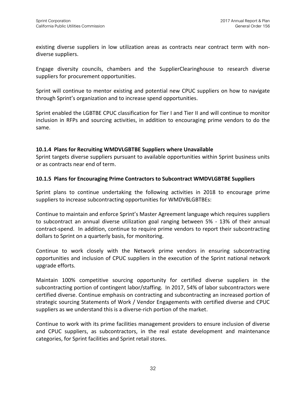existing diverse suppliers in low utilization areas as contracts near contract term with nondiverse suppliers.

Engage diversity councils, chambers and the SupplierClearinghouse to research diverse suppliers for procurement opportunities.

Sprint will continue to mentor existing and potential new CPUC suppliers on how to navigate through Sprint's organization and to increase spend opportunities.

Sprint enabled the LGBTBE CPUC classification for Tier I and Tier II and will continue to monitor inclusion in RFPs and sourcing activities, in addition to encouraging prime vendors to do the same.

#### **10.1.4 Plans for Recruiting WMDVLGBTBE Suppliers where Unavailable**

Sprint targets diverse suppliers pursuant to available opportunities within Sprint business units or as contracts near end of term.

#### **10.1.5 Plans for Encouraging Prime Contractors to Subcontract WMDVLGBTBE Suppliers**

Sprint plans to continue undertaking the following activities in 2018 to encourage prime suppliers to increase subcontracting opportunities for WMDVBLGBTBEs:

Continue to maintain and enforce Sprint's Master Agreement language which requires suppliers to subcontract an annual diverse utilization goal ranging between 5% - 13% of their annual contract-spend. In addition, continue to require prime vendors to report their subcontracting dollars to Sprint on a quarterly basis, for monitoring.

Continue to work closely with the Network prime vendors in ensuring subcontracting opportunities and inclusion of CPUC suppliers in the execution of the Sprint national network upgrade efforts.

Maintain 100% competitive sourcing opportunity for certified diverse suppliers in the subcontracting portion of contingent labor/staffing. In 2017, 54% of labor subcontractors were certified diverse. Continue emphasis on contracting and subcontracting an increased portion of strategic sourcing Statements of Work / Vendor Engagements with certified diverse and CPUC suppliers as we understand this is a diverse-rich portion of the market.

Continue to work with its prime facilities management providers to ensure inclusion of diverse and CPUC suppliers, as subcontractors, in the real estate development and maintenance categories, for Sprint facilities and Sprint retail stores.